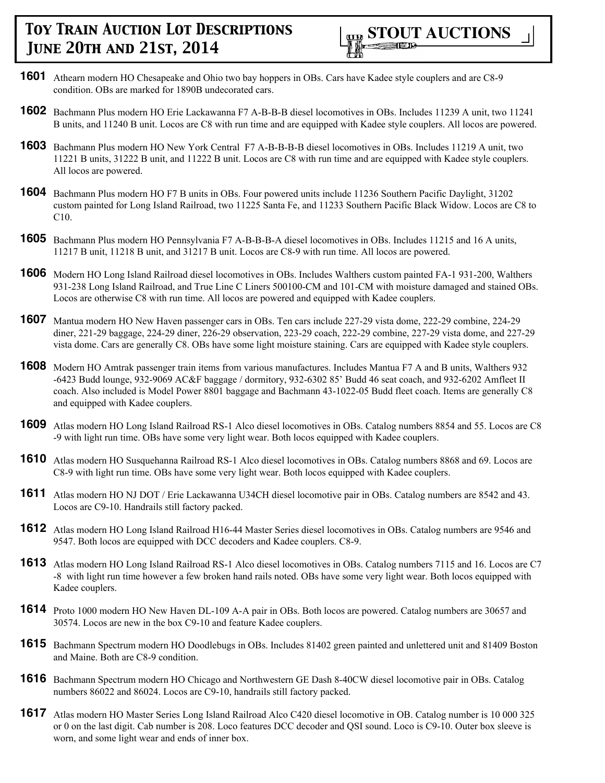

- **1601** Athearn modern HO Chesapeake and Ohio two bay hoppers in OBs. Cars have Kadee style couplers and are C8-9 condition. OBs are marked for 1890B undecorated cars.
- **1602** Bachmann Plus modern HO Erie Lackawanna F7 A-B-B-B diesel locomotives in OBs. Includes 11239 A unit, two 11241 B units, and 11240 B unit. Locos are C8 with run time and are equipped with Kadee style couplers. All locos are powered.
- **1603** Bachmann Plus modern HO New York Central F7 A-B-B-B-B diesel locomotives in OBs. Includes 11219 A unit, two 11221 B units, 31222 B unit, and 11222 B unit. Locos are C8 with run time and are equipped with Kadee style couplers. All locos are powered.
- **1604** Bachmann Plus modern HO F7 B units in OBs. Four powered units include 11236 Southern Pacific Daylight, 31202 custom painted for Long Island Railroad, two 11225 Santa Fe, and 11233 Southern Pacific Black Widow. Locos are C8 to C10.
- **1605** Bachmann Plus modern HO Pennsylvania F7 A-B-B-B-A diesel locomotives in OBs. Includes 11215 and 16 A units, 11217 B unit, 11218 B unit, and 31217 B unit. Locos are C8-9 with run time. All locos are powered.
- **1606** Modern HO Long Island Railroad diesel locomotives in OBs. Includes Walthers custom painted FA-1 931-200, Walthers 931-238 Long Island Railroad, and True Line C Liners 500100-CM and 101-CM with moisture damaged and stained OBs. Locos are otherwise C8 with run time. All locos are powered and equipped with Kadee couplers.
- **1607** Mantua modern HO New Haven passenger cars in OBs. Ten cars include 227-29 vista dome, 222-29 combine, 224-29 diner, 221-29 baggage, 224-29 diner, 226-29 observation, 223-29 coach, 222-29 combine, 227-29 vista dome, and 227-29 vista dome. Cars are generally C8. OBs have some light moisture staining. Cars are equipped with Kadee style couplers.
- **1608** Modern HO Amtrak passenger train items from various manufactures. Includes Mantua F7 A and B units, Walthers 932 -6423 Budd lounge, 932-9069 AC&F baggage / dormitory, 932-6302 85' Budd 46 seat coach, and 932-6202 Amfleet II coach. Also included is Model Power 8801 baggage and Bachmann 43-1022-05 Budd fleet coach. Items are generally C8 and equipped with Kadee couplers.
- **1609** Atlas modern HO Long Island Railroad RS-1 Alco diesel locomotives in OBs. Catalog numbers 8854 and 55. Locos are C8 -9 with light run time. OBs have some very light wear. Both locos equipped with Kadee couplers.
- **1610** Atlas modern HO Susquehanna Railroad RS-1 Alco diesel locomotives in OBs. Catalog numbers 8868 and 69. Locos are C8-9 with light run time. OBs have some very light wear. Both locos equipped with Kadee couplers.
- **1611** Atlas modern HO NJ DOT / Erie Lackawanna U34CH diesel locomotive pair in OBs. Catalog numbers are 8542 and 43. Locos are C9-10. Handrails still factory packed.
- **1612** Atlas modern HO Long Island Railroad H16-44 Master Series diesel locomotives in OBs. Catalog numbers are 9546 and 9547. Both locos are equipped with DCC decoders and Kadee couplers. C8-9.
- **1613** Atlas modern HO Long Island Railroad RS-1 Alco diesel locomotives in OBs. Catalog numbers 7115 and 16. Locos are C7 -8 with light run time however a few broken hand rails noted. OBs have some very light wear. Both locos equipped with Kadee couplers.
- **1614** Proto 1000 modern HO New Haven DL-109 A-A pair in OBs. Both locos are powered. Catalog numbers are 30657 and 30574. Locos are new in the box C9-10 and feature Kadee couplers.
- **1615** Bachmann Spectrum modern HO Doodlebugs in OBs. Includes 81402 green painted and unlettered unit and 81409 Boston and Maine. Both are C8-9 condition.
- **1616** Bachmann Spectrum modern HO Chicago and Northwestern GE Dash 8-40CW diesel locomotive pair in OBs. Catalog numbers 86022 and 86024. Locos are C9-10, handrails still factory packed.
- **1617** Atlas modern HO Master Series Long Island Railroad Alco C420 diesel locomotive in OB. Catalog number is 10 000 325 or 0 on the last digit. Cab number is 208. Loco features DCC decoder and QSI sound. Loco is C9-10. Outer box sleeve is worn, and some light wear and ends of inner box.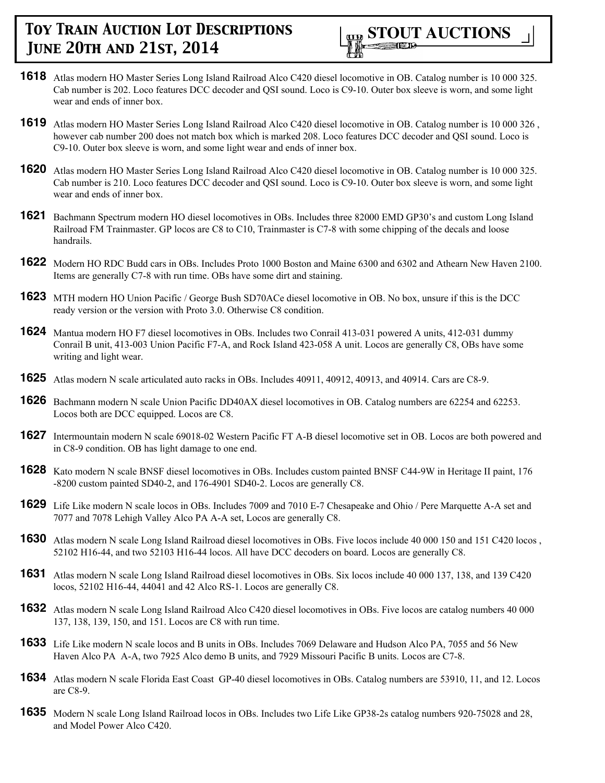

- **1618** Atlas modern HO Master Series Long Island Railroad Alco C420 diesel locomotive in OB. Catalog number is 10 000 325. Cab number is 202. Loco features DCC decoder and QSI sound. Loco is C9-10. Outer box sleeve is worn, and some light wear and ends of inner box.
- **1619** Atlas modern HO Master Series Long Island Railroad Alco C420 diesel locomotive in OB. Catalog number is 10 000 326 , however cab number 200 does not match box which is marked 208. Loco features DCC decoder and QSI sound. Loco is C9-10. Outer box sleeve is worn, and some light wear and ends of inner box.
- **1620** Atlas modern HO Master Series Long Island Railroad Alco C420 diesel locomotive in OB. Catalog number is 10 000 325. Cab number is 210. Loco features DCC decoder and QSI sound. Loco is C9-10. Outer box sleeve is worn, and some light wear and ends of inner box.
- **1621** Bachmann Spectrum modern HO diesel locomotives in OBs. Includes three 82000 EMD GP30's and custom Long Island Railroad FM Trainmaster. GP locos are C8 to C10, Trainmaster is C7-8 with some chipping of the decals and loose handrails.
- **1622** Modern HO RDC Budd cars in OBs. Includes Proto 1000 Boston and Maine 6300 and 6302 and Athearn New Haven 2100. Items are generally C7-8 with run time. OBs have some dirt and staining.
- **1623** MTH modern HO Union Pacific / George Bush SD70ACe diesel locomotive in OB. No box, unsure if this is the DCC ready version or the version with Proto 3.0. Otherwise C8 condition.
- **1624** Mantua modern HO F7 diesel locomotives in OBs. Includes two Conrail 413-031 powered A units, 412-031 dummy Conrail B unit, 413-003 Union Pacific F7-A, and Rock Island 423-058 A unit. Locos are generally C8, OBs have some writing and light wear.
- **1625** Atlas modern N scale articulated auto racks in OBs. Includes 40911, 40912, 40913, and 40914. Cars are C8-9.
- **1626** Bachmann modern N scale Union Pacific DD40AX diesel locomotives in OB. Catalog numbers are 62254 and 62253. Locos both are DCC equipped. Locos are C8.
- **1627** Intermountain modern N scale 69018-02 Western Pacific FT A-B diesel locomotive set in OB. Locos are both powered and in C8-9 condition. OB has light damage to one end.
- **1628** Kato modern N scale BNSF diesel locomotives in OBs. Includes custom painted BNSF C44-9W in Heritage II paint, 176 -8200 custom painted SD40-2, and 176-4901 SD40-2. Locos are generally C8.
- **1629** Life Like modern N scale locos in OBs. Includes 7009 and 7010 E-7 Chesapeake and Ohio / Pere Marquette A-A set and 7077 and 7078 Lehigh Valley Alco PA A-A set, Locos are generally C8.
- **1630** Atlas modern N scale Long Island Railroad diesel locomotives in OBs. Five locos include 40 000 150 and 151 C420 locos, 52102 H16-44, and two 52103 H16-44 locos. All have DCC decoders on board. Locos are generally C8.
- **1631** Atlas modern N scale Long Island Railroad diesel locomotives in OBs. Six locos include 40 000 137, 138, and 139 C420 locos, 52102 H16-44, 44041 and 42 Alco RS-1. Locos are generally C8.
- **1632** Atlas modern N scale Long Island Railroad Alco C420 diesel locomotives in OBs. Five locos are catalog numbers 40 000 137, 138, 139, 150, and 151. Locos are C8 with run time.
- **1633** Life Like modern N scale locos and B units in OBs. Includes 7069 Delaware and Hudson Alco PA, 7055 and 56 New Haven Alco PA A-A, two 7925 Alco demo B units, and 7929 Missouri Pacific B units. Locos are C7-8.
- **1634** Atlas modern N scale Florida East Coast GP-40 diesel locomotives in OBs. Catalog numbers are 53910, 11, and 12. Locos are C8-9.
- **1635** Modern N scale Long Island Railroad locos in OBs. Includes two Life Like GP38-2s catalog numbers 920-75028 and 28, and Model Power Alco C420.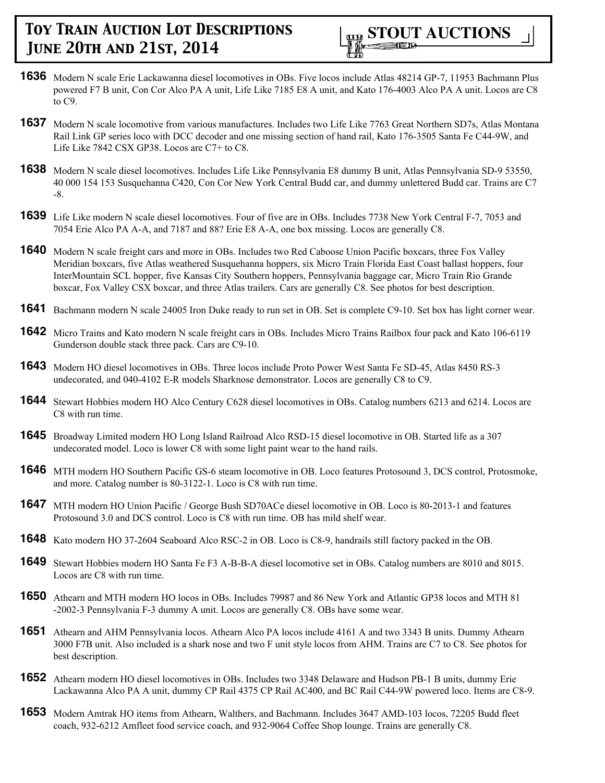

- **1636** Modern N scale Erie Lackawanna diesel locomotives in OBs. Five locos include Atlas 48214 GP-7, 11953 Bachmann Plus powered F7 B unit, Con Cor Alco PA A unit, Life Like 7185 E8 A unit, and Kato 176-4003 Alco PA A unit. Locos are C8 to C9.
- **1637** Modern N scale locomotive from various manufactures. Includes two Life Like 7763 Great Northern SD7s, Atlas Montana Rail Link GP series loco with DCC decoder and one missing section of hand rail, Kato 176-3505 Santa Fe C44-9W, and Life Like 7842 CSX GP38. Locos are C7+ to C8.
- **1638** Modern N scale diesel locomotives. Includes Life Like Pennsylvania E8 dummy B unit, Atlas Pennsylvania SD-9 53550, 40 000 154 153 Susquehanna C420, Con Cor New York Central Budd car, and dummy unlettered Budd car. Trains are C7 -8.
- **1639** Life Like modern N scale diesel locomotives. Four of five are in OBs. Includes 7738 New York Central F-7, 7053 and 7054 Erie Alco PA A-A, and 7187 and 88? Erie E8 A-A, one box missing. Locos are generally C8.
- **1640** Modern N scale freight cars and more in OBs. Includes two Red Caboose Union Pacific boxcars, three Fox Valley Meridian boxcars, five Atlas weathered Susquehanna hoppers, six Micro Train Florida East Coast ballast hoppers, four InterMountain SCL hopper, five Kansas City Southern hoppers, Pennsylvania baggage car, Micro Train Rio Grande boxcar, Fox Valley CSX boxcar, and three Atlas trailers. Cars are generally C8. See photos for best description.
- **1641** Bachmann modern N scale 24005 Iron Duke ready to run set in OB. Set is complete C9-10. Set box has light corner wear.
- **1642** Micro Trains and Kato modern N scale freight cars in OBs. Includes Micro Trains Railbox four pack and Kato 106-6119 Gunderson double stack three pack. Cars are C9-10.
- **1643** Modern HO diesel locomotives in OBs. Three locos include Proto Power West Santa Fe SD-45, Atlas 8450 RS-3 undecorated, and 040-4102 E-R models Sharknose demonstrator. Locos are generally C8 to C9.
- **1644** Stewart Hobbies modern HO Alco Century C628 diesel locomotives in OBs. Catalog numbers 6213 and 6214. Locos are C8 with run time.
- **1645** Broadway Limited modern HO Long Island Railroad Alco RSD-15 diesel locomotive in OB. Started life as a 307 undecorated model. Loco is lower C8 with some light paint wear to the hand rails.
- **1646** MTH modern HO Southern Pacific GS-6 steam locomotive in OB. Loco features Protosound 3, DCS control, Protosmoke, and more. Catalog number is 80-3122-1. Loco is C8 with run time.
- **1647** MTH modern HO Union Pacific / George Bush SD70ACe diesel locomotive in OB. Loco is 80-2013-1 and features Protosound 3.0 and DCS control. Loco is C8 with run time. OB has mild shelf wear.
- **1648** Kato modern HO 37-2604 Seaboard Alco RSC-2 in OB. Loco is C8-9, handrails still factory packed in the OB.
- **1649** Stewart Hobbies modern HO Santa Fe F3 A-B-B-A diesel locomotive set in OBs. Catalog numbers are 8010 and 8015. Locos are C8 with run time.
- **1650** Athearn and MTH modern HO locos in OBs. Includes 79987 and 86 New York and Atlantic GP38 locos and MTH 81 -2002-3 Pennsylvania F-3 dummy A unit. Locos are generally C8. OBs have some wear.
- **1651** Athearn and AHM Pennsylvania locos. Athearn Alco PA locos include 4161 A and two 3343 B units. Dummy Athearn 3000 F7B unit. Also included is a shark nose and two F unit style locos from AHM. Trains are C7 to C8. See photos for best description.
- **1652** Athearn modern HO diesel locomotives in OBs. Includes two 3348 Delaware and Hudson PB-1 B units, dummy Erie Lackawanna Alco PA A unit, dummy CP Rail 4375 CP Rail AC400, and BC Rail C44-9W powered loco. Items are C8-9.
- **1653** Modern Amtrak HO items from Athearn, Walthers, and Bachmann. Includes 3647 AMD-103 locos, 72205 Budd fleet coach, 932-6212 Amfleet food service coach, and 932-9064 Coffee Shop lounge. Trains are generally C8.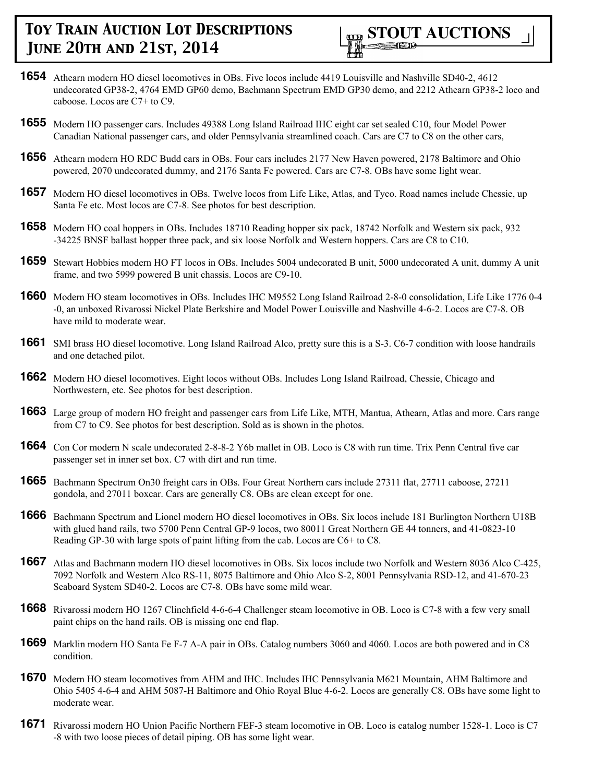

- **1654** Athearn modern HO diesel locomotives in OBs. Five locos include 4419 Louisville and Nashville SD40-2, 4612 undecorated GP38-2, 4764 EMD GP60 demo, Bachmann Spectrum EMD GP30 demo, and 2212 Athearn GP38-2 loco and caboose. Locos are C7+ to C9.
- **1655** Modern HO passenger cars. Includes 49388 Long Island Railroad IHC eight car set sealed C10, four Model Power Canadian National passenger cars, and older Pennsylvania streamlined coach. Cars are C7 to C8 on the other cars,
- **1656** Athearn modern HO RDC Budd cars in OBs. Four cars includes 2177 New Haven powered, 2178 Baltimore and Ohio powered, 2070 undecorated dummy, and 2176 Santa Fe powered. Cars are C7-8. OBs have some light wear.
- **1657** Modern HO diesel locomotives in OBs. Twelve locos from Life Like, Atlas, and Tyco. Road names include Chessie, up Santa Fe etc. Most locos are C7-8. See photos for best description.
- **1658** Modern HO coal hoppers in OBs. Includes 18710 Reading hopper six pack, 18742 Norfolk and Western six pack, 932 -34225 BNSF ballast hopper three pack, and six loose Norfolk and Western hoppers. Cars are C8 to C10.
- **1659** Stewart Hobbies modern HO FT locos in OBs. Includes 5004 undecorated B unit, 5000 undecorated A unit, dummy A unit frame, and two 5999 powered B unit chassis. Locos are C9-10.
- **1660** Modern HO steam locomotives in OBs. Includes IHC M9552 Long Island Railroad 2-8-0 consolidation, Life Like 1776 0-4 -0, an unboxed Rivarossi Nickel Plate Berkshire and Model Power Louisville and Nashville 4-6-2. Locos are C7-8. OB have mild to moderate wear.
- **1661** SMI brass HO diesel locomotive. Long Island Railroad Alco, pretty sure this is a S-3. C6-7 condition with loose handrails and one detached pilot.
- **1662** Modern HO diesel locomotives. Eight locos without OBs. Includes Long Island Railroad, Chessie, Chicago and Northwestern, etc. See photos for best description.
- **1663** Large group of modern HO freight and passenger cars from Life Like, MTH, Mantua, Athearn, Atlas and more. Cars range from C7 to C9. See photos for best description. Sold as is shown in the photos.
- **1664** Con Cor modern N scale undecorated 2-8-8-2 Y6b mallet in OB. Loco is C8 with run time. Trix Penn Central five car passenger set in inner set box. C7 with dirt and run time.
- **1665** Bachmann Spectrum On30 freight cars in OBs. Four Great Northern cars include 27311 flat, 27711 caboose, 27211 gondola, and 27011 boxcar. Cars are generally C8. OBs are clean except for one.
- **1666** Bachmann Spectrum and Lionel modern HO diesel locomotives in OBs. Six locos include 181 Burlington Northern U18B with glued hand rails, two 5700 Penn Central GP-9 locos, two 80011 Great Northern GE 44 tonners, and 41-0823-10 Reading GP-30 with large spots of paint lifting from the cab. Locos are C6+ to C8.
- **1667** Atlas and Bachmann modern HO diesel locomotives in OBs. Six locos include two Norfolk and Western 8036 Alco C-425, 7092 Norfolk and Western Alco RS-11, 8075 Baltimore and Ohio Alco S-2, 8001 Pennsylvania RSD-12, and 41-670-23 Seaboard System SD40-2. Locos are C7-8. OBs have some mild wear.
- **1668** Rivarossi modern HO 1267 Clinchfield 4-6-6-4 Challenger steam locomotive in OB. Loco is C7-8 with a few very small paint chips on the hand rails. OB is missing one end flap.
- **1669** Marklin modern HO Santa Fe F-7 A-A pair in OBs. Catalog numbers 3060 and 4060. Locos are both powered and in C8 condition.
- **1670** Modern HO steam locomotives from AHM and IHC. Includes IHC Pennsylvania M621 Mountain, AHM Baltimore and Ohio 5405 4-6-4 and AHM 5087-H Baltimore and Ohio Royal Blue 4-6-2. Locos are generally C8. OBs have some light to moderate wear.
- **1671** Rivarossi modern HO Union Pacific Northern FEF-3 steam locomotive in OB. Loco is catalog number 1528-1. Loco is C7 -8 with two loose pieces of detail piping. OB has some light wear.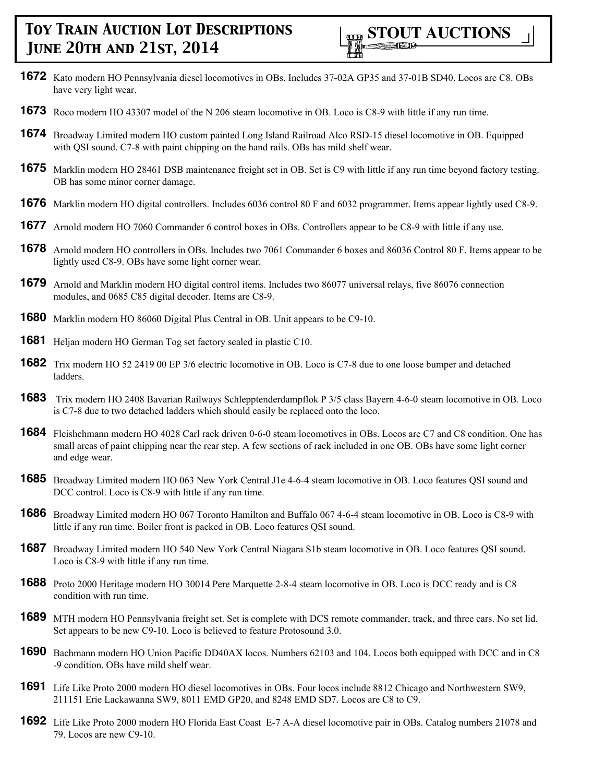- **1672** Kato modern HO Pennsylvania diesel locomotives in OBs. Includes 37-02A GP35 and 37-01B SD40. Locos are C8. OBs have very light wear.
- **1673** Roco modern HO 43307 model of the N 206 steam locomotive in OB. Loco is C8-9 with little if any run time.
- **1674** Broadway Limited modern HO custom painted Long Island Railroad Alco RSD-15 diesel locomotive in OB. Equipped with QSI sound. C7-8 with paint chipping on the hand rails. OBs has mild shelf wear.
- **1675** Marklin modern HO 28461 DSB maintenance freight set in OB. Set is C9 with little if any run time beyond factory testing. OB has some minor corner damage.
- **1676** Marklin modern HO digital controllers. Includes 6036 control 80 F and 6032 programmer. Items appear lightly used C8-9.
- **1677** Arnold modern HO 7060 Commander 6 control boxes in OBs. Controllers appear to be C8-9 with little if any use.
- **1678** Arnold modern HO controllers in OBs. Includes two 7061 Commander 6 boxes and 86036 Control 80 F. Items appear to be lightly used C8-9. OBs have some light corner wear.
- **1679** Arnold and Marklin modern HO digital control items. Includes two 86077 universal relays, five 86076 connection modules, and 0685 C85 digital decoder. Items are C8-9.
- **1680** Marklin modern HO 86060 Digital Plus Central in OB. Unit appears to be C9-10.
- **1681** Heljan modern HO German Tog set factory sealed in plastic C10.
- **1682** Trix modern HO 52 2419 00 EP 3/6 electric locomotive in OB. Loco is C7-8 due to one loose bumper and detached ladders.
- **1683** Trix modern HO 2408 Bavarian Railways Schlepptenderdampflok P 3/5 class Bayern 4-6-0 steam locomotive in OB. Loco is C7-8 due to two detached ladders which should easily be replaced onto the loco.
- **1684** Fleishchmann modern HO 4028 Carl rack driven 0-6-0 steam locomotives in OBs. Locos are C7 and C8 condition. One has small areas of paint chipping near the rear step. A few sections of rack included in one OB. OBs have some light corner and edge wear.
- **1685** Broadway Limited modern HO 063 New York Central J1e 4-6-4 steam locomotive in OB. Loco features QSI sound and DCC control. Loco is C8-9 with little if any run time.
- **1686** Broadway Limited modern HO 067 Toronto Hamilton and Buffalo 067 4-6-4 steam locomotive in OB. Loco is C8-9 with little if any run time. Boiler front is packed in OB. Loco features QSI sound.
- **1687** Broadway Limited modern HO 540 New York Central Niagara S1b steam locomotive in OB. Loco features QSI sound. Loco is C8-9 with little if any run time.
- **1688** Proto 2000 Heritage modern HO 30014 Pere Marquette 2-8-4 steam locomotive in OB. Loco is DCC ready and is C8 condition with run time.
- **1689** MTH modern HO Pennsylvania freight set. Set is complete with DCS remote commander, track, and three cars. No set lid. Set appears to be new C9-10. Loco is believed to feature Protosound 3.0.
- **1690** Bachmann modern HO Union Pacific DD40AX locos. Numbers 62103 and 104. Locos both equipped with DCC and in C8 -9 condition. OBs have mild shelf wear.
- **1691** Life Like Proto 2000 modern HO diesel locomotives in OBs. Four locos include 8812 Chicago and Northwestern SW9, 211151 Erie Lackawanna SW9, 8011 EMD GP20, and 8248 EMD SD7. Locos are C8 to C9.
- **1692** Life Like Proto 2000 modern HO Florida East Coast E-7 A-A diesel locomotive pair in OBs. Catalog numbers 21078 and 79. Locos are new C9-10.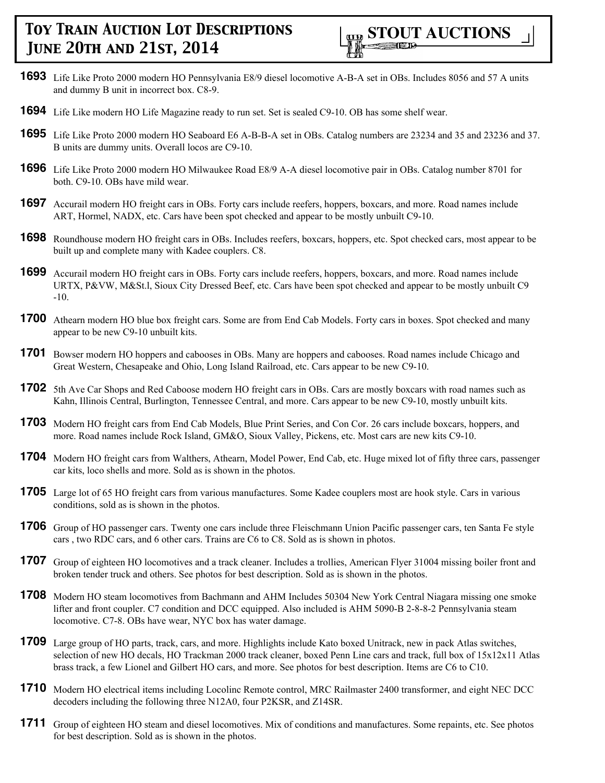

- **1693** Life Like Proto 2000 modern HO Pennsylvania E8/9 diesel locomotive A-B-A set in OBs. Includes 8056 and 57 A units and dummy B unit in incorrect box. C8-9.
- **1694** Life Like modern HO Life Magazine ready to run set. Set is sealed C9-10. OB has some shelf wear.
- **1695** Life Like Proto 2000 modern HO Seaboard E6 A-B-B-A set in OBs. Catalog numbers are 23234 and 35 and 23236 and 37. B units are dummy units. Overall locos are C9-10.
- **1696** Life Like Proto 2000 modern HO Milwaukee Road E8/9 A-A diesel locomotive pair in OBs. Catalog number 8701 for both. C9-10. OBs have mild wear.
- **1697** Accurail modern HO freight cars in OBs. Forty cars include reefers, hoppers, boxcars, and more. Road names include ART, Hormel, NADX, etc. Cars have been spot checked and appear to be mostly unbuilt C9-10.
- **1698** Roundhouse modern HO freight cars in OBs. Includes reefers, boxcars, hoppers, etc. Spot checked cars, most appear to be built up and complete many with Kadee couplers. C8.
- **1699** Accurail modern HO freight cars in OBs. Forty cars include reefers, hoppers, boxcars, and more. Road names include URTX, P&VW, M&St.l, Sioux City Dressed Beef, etc. Cars have been spot checked and appear to be mostly unbuilt C9 -10.
- **1700** Athearn modern HO blue box freight cars. Some are from End Cab Models. Forty cars in boxes. Spot checked and many appear to be new C9-10 unbuilt kits.
- **1701** Bowser modern HO hoppers and cabooses in OBs. Many are hoppers and cabooses. Road names include Chicago and Great Western, Chesapeake and Ohio, Long Island Railroad, etc. Cars appear to be new C9-10.
- **1702** 5th Ave Car Shops and Red Caboose modern HO freight cars in OBs. Cars are mostly boxcars with road names such as Kahn, Illinois Central, Burlington, Tennessee Central, and more. Cars appear to be new C9-10, mostly unbuilt kits.
- **1703** Modern HO freight cars from End Cab Models, Blue Print Series, and Con Cor. 26 cars include boxcars, hoppers, and more. Road names include Rock Island, GM&O, Sioux Valley, Pickens, etc. Most cars are new kits C9-10.
- **1704** Modern HO freight cars from Walthers, Athearn, Model Power, End Cab, etc. Huge mixed lot of fifty three cars, passenger car kits, loco shells and more. Sold as is shown in the photos.
- **1705** Large lot of 65 HO freight cars from various manufactures. Some Kadee couplers most are hook style. Cars in various conditions, sold as is shown in the photos.
- **1706** Group of HO passenger cars. Twenty one cars include three Fleischmann Union Pacific passenger cars, ten Santa Fe style cars , two RDC cars, and 6 other cars. Trains are C6 to C8. Sold as is shown in photos.
- **1707** Group of eighteen HO locomotives and a track cleaner. Includes a trollies, American Flyer 31004 missing boiler front and broken tender truck and others. See photos for best description. Sold as is shown in the photos.
- **1708** Modern HO steam locomotives from Bachmann and AHM Includes 50304 New York Central Niagara missing one smoke lifter and front coupler. C7 condition and DCC equipped. Also included is AHM 5090-B 2-8-8-2 Pennsylvania steam locomotive. C7-8. OBs have wear, NYC box has water damage.
- **1709** Large group of HO parts, track, cars, and more. Highlights include Kato boxed Unitrack, new in pack Atlas switches, selection of new HO decals, HO Trackman 2000 track cleaner, boxed Penn Line cars and track, full box of 15x12x11 Atlas brass track, a few Lionel and Gilbert HO cars, and more. See photos for best description. Items are C6 to C10.
- **1710** Modern HO electrical items including Locolinc Remote control, MRC Railmaster 2400 transformer, and eight NEC DCC decoders including the following three N12A0, four P2KSR, and Z14SR.
- **1711** Group of eighteen HO steam and diesel locomotives. Mix of conditions and manufactures. Some repaints, etc. See photos for best description. Sold as is shown in the photos.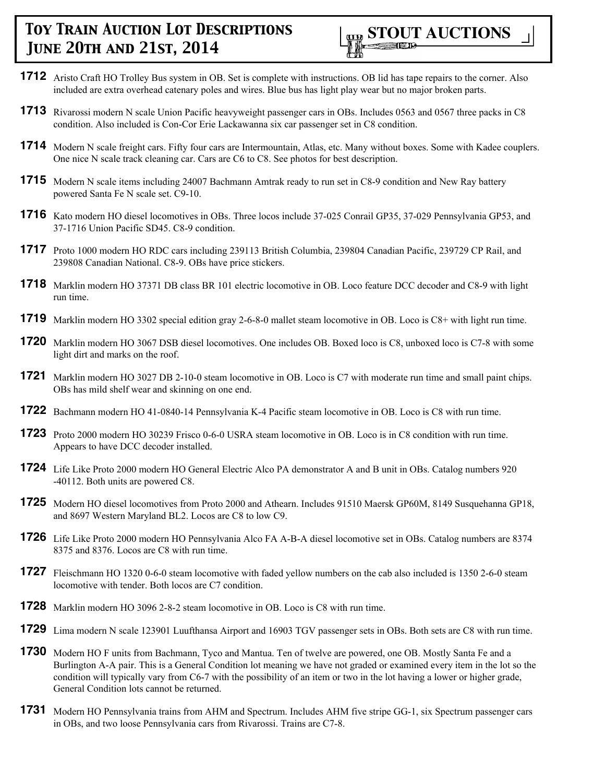

- **1712** Aristo Craft HO Trolley Bus system in OB. Set is complete with instructions. OB lid has tape repairs to the corner. Also included are extra overhead catenary poles and wires. Blue bus has light play wear but no major broken parts.
- **1713** Rivarossi modern N scale Union Pacific heavyweight passenger cars in OBs. Includes 0563 and 0567 three packs in C8 condition. Also included is Con-Cor Erie Lackawanna six car passenger set in C8 condition.
- **1714** Modern N scale freight cars. Fifty four cars are Intermountain, Atlas, etc. Many without boxes. Some with Kadee couplers. One nice N scale track cleaning car. Cars are C6 to C8. See photos for best description.
- **1715** Modern N scale items including 24007 Bachmann Amtrak ready to run set in C8-9 condition and New Ray battery powered Santa Fe N scale set. C9-10.
- **1716** Kato modern HO diesel locomotives in OBs. Three locos include 37-025 Conrail GP35, 37-029 Pennsylvania GP53, and 37-1716 Union Pacific SD45. C8-9 condition.
- **1717** Proto 1000 modern HO RDC cars including 239113 British Columbia, 239804 Canadian Pacific, 239729 CP Rail, and 239808 Canadian National. C8-9. OBs have price stickers.
- **1718** Marklin modern HO 37371 DB class BR 101 electric locomotive in OB. Loco feature DCC decoder and C8-9 with light run time.
- **1719** Marklin modern HO 3302 special edition gray 2-6-8-0 mallet steam locomotive in OB. Loco is C8+ with light run time.
- **1720** Marklin modern HO 3067 DSB diesel locomotives. One includes OB. Boxed loco is C8, unboxed loco is C7-8 with some light dirt and marks on the roof.
- **1721** Marklin modern HO 3027 DB 2-10-0 steam locomotive in OB. Loco is C7 with moderate run time and small paint chips. OBs has mild shelf wear and skinning on one end.
- **1722** Bachmann modern HO 41-0840-14 Pennsylvania K-4 Pacific steam locomotive in OB. Loco is C8 with run time.
- **1723** Proto 2000 modern HO 30239 Frisco 0-6-0 USRA steam locomotive in OB. Loco is in C8 condition with run time. Appears to have DCC decoder installed.
- **1724** Life Like Proto 2000 modern HO General Electric Alco PA demonstrator A and B unit in OBs. Catalog numbers 920 -40112. Both units are powered C8.
- **1725** Modern HO diesel locomotives from Proto 2000 and Athearn. Includes 91510 Maersk GP60M, 8149 Susquehanna GP18, and 8697 Western Maryland BL2. Locos are C8 to low C9.
- **1726** Life Like Proto 2000 modern HO Pennsylvania Alco FA A-B-A diesel locomotive set in OBs. Catalog numbers are 8374 8375 and 8376. Locos are C8 with run time.
- **1727** Fleischmann HO 1320 0-6-0 steam locomotive with faded yellow numbers on the cab also included is 1350 2-6-0 steam locomotive with tender. Both locos are C7 condition.
- **1728** Marklin modern HO 3096 2-8-2 steam locomotive in OB. Loco is C8 with run time.
- **1729** Lima modern N scale 123901 Luufthansa Airport and 16903 TGV passenger sets in OBs. Both sets are C8 with run time.
- **1730** Modern HO F units from Bachmann, Tyco and Mantua. Ten of twelve are powered, one OB. Mostly Santa Fe and a Burlington A-A pair. This is a General Condition lot meaning we have not graded or examined every item in the lot so the condition will typically vary from C6-7 with the possibility of an item or two in the lot having a lower or higher grade, General Condition lots cannot be returned.
- **1731** Modern HO Pennsylvania trains from AHM and Spectrum. Includes AHM five stripe GG-1, six Spectrum passenger cars in OBs, and two loose Pennsylvania cars from Rivarossi. Trains are C7-8.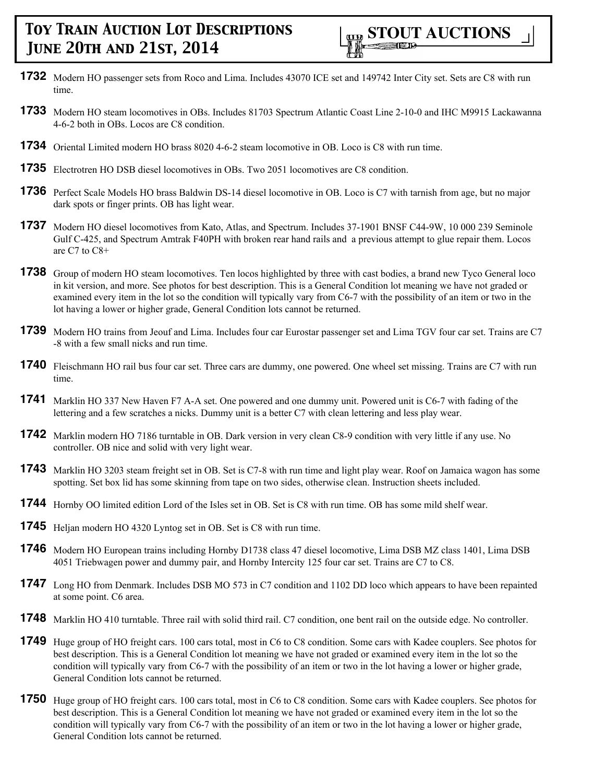- **1732** Modern HO passenger sets from Roco and Lima. Includes 43070 ICE set and 149742 Inter City set. Sets are C8 with run time.
- **1733** Modern HO steam locomotives in OBs. Includes 81703 Spectrum Atlantic Coast Line 2-10-0 and IHC M9915 Lackawanna 4-6-2 both in OBs. Locos are C8 condition.
- **1734** Oriental Limited modern HO brass 8020 4-6-2 steam locomotive in OB. Loco is C8 with run time.
- **1735** Electrotren HO DSB diesel locomotives in OBs. Two 2051 locomotives are C8 condition.
- **1736** Perfect Scale Models HO brass Baldwin DS-14 diesel locomotive in OB. Loco is C7 with tarnish from age, but no major dark spots or finger prints. OB has light wear.
- **1737** Modern HO diesel locomotives from Kato, Atlas, and Spectrum. Includes 37-1901 BNSF C44-9W, 10 000 239 Seminole Gulf C-425, and Spectrum Amtrak F40PH with broken rear hand rails and a previous attempt to glue repair them. Locos are C7 to C8+
- **1738** Group of modern HO steam locomotives. Ten locos highlighted by three with cast bodies, a brand new Tyco General loco in kit version, and more. See photos for best description. This is a General Condition lot meaning we have not graded or examined every item in the lot so the condition will typically vary from C6-7 with the possibility of an item or two in the lot having a lower or higher grade, General Condition lots cannot be returned.
- **1739** Modern HO trains from Jeouf and Lima. Includes four car Eurostar passenger set and Lima TGV four car set. Trains are C7 -8 with a few small nicks and run time.
- **1740** Fleischmann HO rail bus four car set. Three cars are dummy, one powered. One wheel set missing. Trains are C7 with run time.
- **1741** Marklin HO 337 New Haven F7 A-A set. One powered and one dummy unit. Powered unit is C6-7 with fading of the lettering and a few scratches a nicks. Dummy unit is a better C7 with clean lettering and less play wear.
- **1742** Marklin modern HO 7186 turntable in OB. Dark version in very clean C8-9 condition with very little if any use. No controller. OB nice and solid with very light wear.
- **1743** Marklin HO 3203 steam freight set in OB. Set is C7-8 with run time and light play wear. Roof on Jamaica wagon has some spotting. Set box lid has some skinning from tape on two sides, otherwise clean. Instruction sheets included.
- **1744** Hornby OO limited edition Lord of the Isles set in OB. Set is C8 with run time. OB has some mild shelf wear.
- **1745** Heljan modern HO 4320 Lyntog set in OB. Set is C8 with run time.
- **1746** Modern HO European trains including Hornby D1738 class 47 diesel locomotive, Lima DSB MZ class 1401, Lima DSB 4051 Triebwagen power and dummy pair, and Hornby Intercity 125 four car set. Trains are C7 to C8.
- **1747** Long HO from Denmark. Includes DSB MO 573 in C7 condition and 1102 DD loco which appears to have been repainted at some point. C6 area.
- **1748** Marklin HO 410 turntable. Three rail with solid third rail. C7 condition, one bent rail on the outside edge. No controller.
- **1749** Huge group of HO freight cars. 100 cars total, most in C6 to C8 condition. Some cars with Kadee couplers. See photos for best description. This is a General Condition lot meaning we have not graded or examined every item in the lot so the condition will typically vary from C6-7 with the possibility of an item or two in the lot having a lower or higher grade, General Condition lots cannot be returned.
- **1750** Huge group of HO freight cars. 100 cars total, most in C6 to C8 condition. Some cars with Kadee couplers. See photos for best description. This is a General Condition lot meaning we have not graded or examined every item in the lot so the condition will typically vary from C6-7 with the possibility of an item or two in the lot having a lower or higher grade, General Condition lots cannot be returned.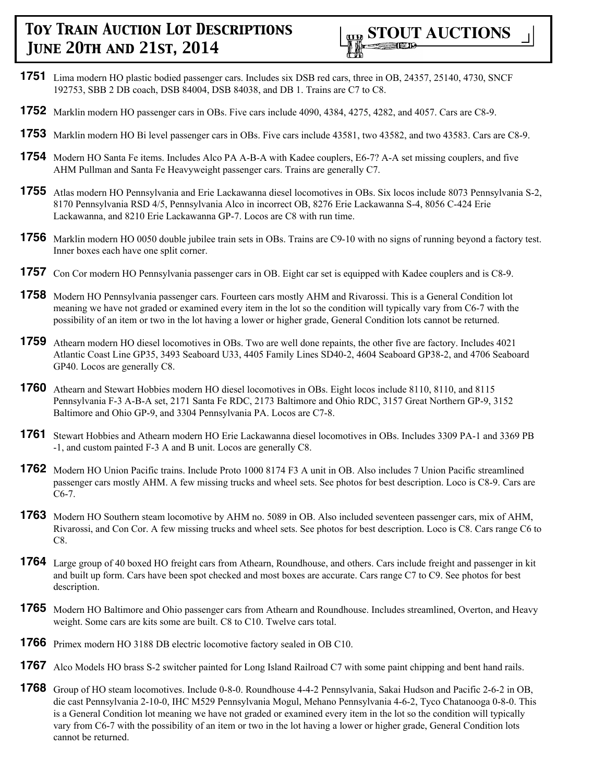

- **1751** Lima modern HO plastic bodied passenger cars. Includes six DSB red cars, three in OB, 24357, 25140, 4730, SNCF 192753, SBB 2 DB coach, DSB 84004, DSB 84038, and DB 1. Trains are C7 to C8.
- **1752** Marklin modern HO passenger cars in OBs. Five cars include 4090, 4384, 4275, 4282, and 4057. Cars are C8-9.
- **1753** Marklin modern HO Bi level passenger cars in OBs. Five cars include 43581, two 43582, and two 43583. Cars are C8-9.
- **1754** Modern HO Santa Fe items. Includes Alco PA A-B-A with Kadee couplers, E6-7? A-A set missing couplers, and five AHM Pullman and Santa Fe Heavyweight passenger cars. Trains are generally C7.
- **1755** Atlas modern HO Pennsylvania and Erie Lackawanna diesel locomotives in OBs. Six locos include 8073 Pennsylvania S-2, 8170 Pennsylvania RSD 4/5, Pennsylvania Alco in incorrect OB, 8276 Erie Lackawanna S-4, 8056 C-424 Erie Lackawanna, and 8210 Erie Lackawanna GP-7. Locos are C8 with run time.
- **1756** Marklin modern HO 0050 double jubilee train sets in OBs. Trains are C9-10 with no signs of running beyond a factory test. Inner boxes each have one split corner.
- **1757** Con Cor modern HO Pennsylvania passenger cars in OB. Eight car set is equipped with Kadee couplers and is C8-9.
- **1758** Modern HO Pennsylvania passenger cars. Fourteen cars mostly AHM and Rivarossi. This is a General Condition lot meaning we have not graded or examined every item in the lot so the condition will typically vary from C6-7 with the possibility of an item or two in the lot having a lower or higher grade, General Condition lots cannot be returned.
- **1759** Athearn modern HO diesel locomotives in OBs. Two are well done repaints, the other five are factory. Includes 4021 Atlantic Coast Line GP35, 3493 Seaboard U33, 4405 Family Lines SD40-2, 4604 Seaboard GP38-2, and 4706 Seaboard GP40. Locos are generally C8.
- **1760** Athearn and Stewart Hobbies modern HO diesel locomotives in OBs. Eight locos include 8110, 8110, and 8115 Pennsylvania F-3 A-B-A set, 2171 Santa Fe RDC, 2173 Baltimore and Ohio RDC, 3157 Great Northern GP-9, 3152 Baltimore and Ohio GP-9, and 3304 Pennsylvania PA. Locos are C7-8.
- **1761** Stewart Hobbies and Athearn modern HO Erie Lackawanna diesel locomotives in OBs. Includes 3309 PA-1 and 3369 PB -1, and custom painted F-3 A and B unit. Locos are generally C8.
- **1762** Modern HO Union Pacific trains. Include Proto 1000 8174 F3 A unit in OB. Also includes 7 Union Pacific streamlined passenger cars mostly AHM. A few missing trucks and wheel sets. See photos for best description. Loco is C8-9. Cars are C6-7.
- **1763** Modern HO Southern steam locomotive by AHM no. 5089 in OB. Also included seventeen passenger cars, mix of AHM, Rivarossi, and Con Cor. A few missing trucks and wheel sets. See photos for best description. Loco is C8. Cars range C6 to C8.
- **1764** Large group of 40 boxed HO freight cars from Athearn, Roundhouse, and others. Cars include freight and passenger in kit and built up form. Cars have been spot checked and most boxes are accurate. Cars range C7 to C9. See photos for best description.
- **1765** Modern HO Baltimore and Ohio passenger cars from Athearn and Roundhouse. Includes streamlined, Overton, and Heavy weight. Some cars are kits some are built. C8 to C10. Twelve cars total.
- **1766** Primex modern HO 3188 DB electric locomotive factory sealed in OB C10.
- **1767** Alco Models HO brass S-2 switcher painted for Long Island Railroad C7 with some paint chipping and bent hand rails.
- **1768** Group of HO steam locomotives. Include 0-8-0. Roundhouse 4-4-2 Pennsylvania, Sakai Hudson and Pacific 2-6-2 in OB, die cast Pennsylvania 2-10-0, IHC M529 Pennsylvania Mogul, Mehano Pennsylvania 4-6-2, Tyco Chatanooga 0-8-0. This is a General Condition lot meaning we have not graded or examined every item in the lot so the condition will typically vary from C6-7 with the possibility of an item or two in the lot having a lower or higher grade, General Condition lots cannot be returned.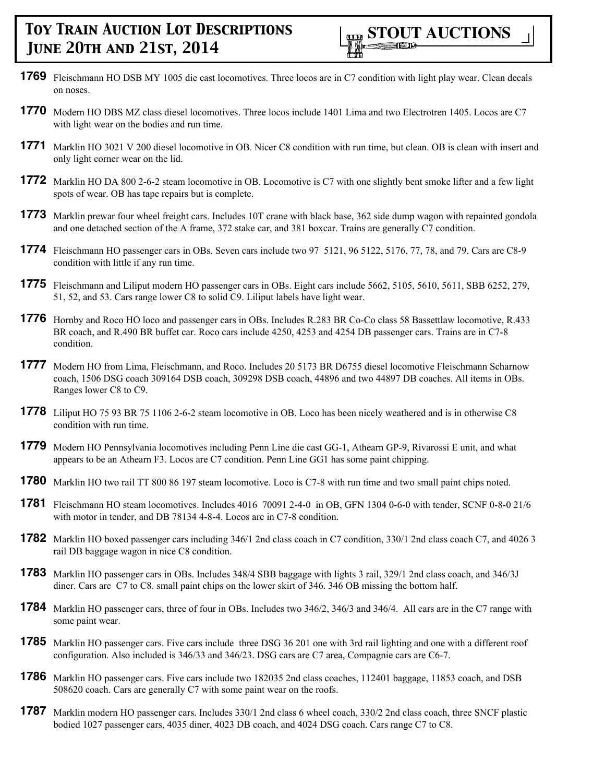- **1769** Fleischmann HO DSB MY 1005 die cast locomotives. Three locos are in C7 condition with light play wear. Clean decals on noses.
- **1770** Modern HO DBS MZ class diesel locomotives. Three locos include 1401 Lima and two Electrotren 1405. Locos are C7 with light wear on the bodies and run time.
- **1771** Marklin HO 3021 V 200 diesel locomotive in OB. Nicer C8 condition with run time, but clean. OB is clean with insert and only light corner wear on the lid.
- **1772** Marklin HO DA 800 2-6-2 steam locomotive in OB. Locomotive is C7 with one slightly bent smoke lifter and a few light spots of wear. OB has tape repairs but is complete.
- **1773** Marklin prewar four wheel freight cars. Includes 10T crane with black base, 362 side dump wagon with repainted gondola and one detached section of the A frame, 372 stake car, and 381 boxcar. Trains are generally C7 condition.
- **1774** Fleischmann HO passenger cars in OBs. Seven cars include two 97 5121, 96 5122, 5176, 77, 78, and 79. Cars are C8-9 condition with little if any run time.
- **1775** Fleischmann and Liliput modern HO passenger cars in OBs. Eight cars include 5662, 5105, 5610, 5611, SBB 6252, 279, 51, 52, and 53. Cars range lower C8 to solid C9. Liliput labels have light wear.
- **1776** Hornby and Roco HO loco and passenger cars in OBs. Includes R.283 BR Co-Co class 58 Bassettlaw locomotive, R.433 BR coach, and R.490 BR buffet car. Roco cars include 4250, 4253 and 4254 DB passenger cars. Trains are in C7-8 condition.
- **1777** Modern HO from Lima, Fleischmann, and Roco. Includes 20 5173 BR D6755 diesel locomotive Fleischmann Scharnow coach, 1506 DSG coach 309164 DSB coach, 309298 DSB coach, 44896 and two 44897 DB coaches. All items in OBs. Ranges lower C8 to C9.
- **1778** Liliput HO 75 93 BR 75 1106 2-6-2 steam locomotive in OB. Loco has been nicely weathered and is in otherwise C8 condition with run time.
- **1779** Modern HO Pennsylvania locomotives including Penn Line die cast GG-1, Athearn GP-9, Rivarossi E unit, and what appears to be an Athearn F3. Locos are C7 condition. Penn Line GG1 has some paint chipping.
- **1780** Marklin HO two rail TT 800 86 197 steam locomotive. Loco is C7-8 with run time and two small paint chips noted.
- **1781** Fleischmann HO steam locomotives. Includes 4016 70091 2-4-0 in OB, GFN 1304 0-6-0 with tender, SCNF 0-8-0 21/6 with motor in tender, and DB 78134 4-8-4. Locos are in C7-8 condition.
- **1782** Marklin HO boxed passenger cars including 346/1 2nd class coach in C7 condition, 330/1 2nd class coach C7, and 4026 3 rail DB baggage wagon in nice C8 condition.
- **1783** Marklin HO passenger cars in OBs. Includes 348/4 SBB baggage with lights 3 rail, 329/1 2nd class coach, and 346/3J diner. Cars are C7 to C8. small paint chips on the lower skirt of 346. 346 OB missing the bottom half.
- **1784** Marklin HO passenger cars, three of four in OBs. Includes two 346/2, 346/3 and 346/4. All cars are in the C7 range with some paint wear.
- **1785** Marklin HO passenger cars. Five cars include three DSG 36 201 one with 3rd rail lighting and one with a different roof configuration. Also included is 346/33 and 346/23. DSG cars are C7 area, Compagnie cars are C6-7.
- **1786** Marklin HO passenger cars. Five cars include two 182035 2nd class coaches, 112401 baggage, 11853 coach, and DSB 508620 coach. Cars are generally C7 with some paint wear on the roofs.
- **1787** Marklin modern HO passenger cars. Includes 330/1 2nd class 6 wheel coach, 330/2 2nd class coach, three SNCF plastic bodied 1027 passenger cars, 4035 diner, 4023 DB coach, and 4024 DSG coach. Cars range C7 to C8.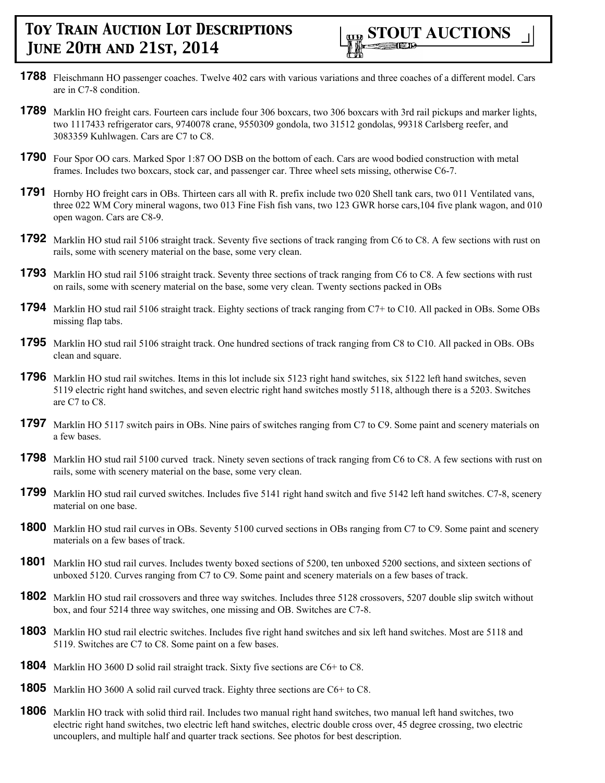- **1788** Fleischmann HO passenger coaches. Twelve 402 cars with various variations and three coaches of a different model. Cars are in C7-8 condition.
- **1789** Marklin HO freight cars. Fourteen cars include four 306 boxcars, two 306 boxcars with 3rd rail pickups and marker lights, two 1117433 refrigerator cars, 9740078 crane, 9550309 gondola, two 31512 gondolas, 99318 Carlsberg reefer, and 3083359 Kuhlwagen. Cars are C7 to C8.
- **1790** Four Spor OO cars. Marked Spor 1:87 OO DSB on the bottom of each. Cars are wood bodied construction with metal frames. Includes two boxcars, stock car, and passenger car. Three wheel sets missing, otherwise C6-7.
- **1791** Hornby HO freight cars in OBs. Thirteen cars all with R. prefix include two 020 Shell tank cars, two 011 Ventilated vans, three 022 WM Cory mineral wagons, two 013 Fine Fish fish vans, two 123 GWR horse cars,104 five plank wagon, and 010 open wagon. Cars are C8-9.
- **1792** Marklin HO stud rail 5106 straight track. Seventy five sections of track ranging from C6 to C8. A few sections with rust on rails, some with scenery material on the base, some very clean.
- **1793** Marklin HO stud rail 5106 straight track. Seventy three sections of track ranging from C6 to C8. A few sections with rust on rails, some with scenery material on the base, some very clean. Twenty sections packed in OBs
- **1794** Marklin HO stud rail 5106 straight track. Eighty sections of track ranging from C7+ to C10. All packed in OBs. Some OBs missing flap tabs.
- **1795** Marklin HO stud rail 5106 straight track. One hundred sections of track ranging from C8 to C10. All packed in OBs. OBs clean and square.
- **1796** Marklin HO stud rail switches. Items in this lot include six 5123 right hand switches, six 5122 left hand switches, seven 5119 electric right hand switches, and seven electric right hand switches mostly 5118, although there is a 5203. Switches are C7 to C8.
- **1797** Marklin HO 5117 switch pairs in OBs. Nine pairs of switches ranging from C7 to C9. Some paint and scenery materials on a few bases.
- **1798** Marklin HO stud rail 5100 curved track. Ninety seven sections of track ranging from C6 to C8. A few sections with rust on rails, some with scenery material on the base, some very clean.
- **1799** Marklin HO stud rail curved switches. Includes five 5141 right hand switch and five 5142 left hand switches. C7-8, scenery material on one base.
- **1800** Marklin HO stud rail curves in OBs. Seventy 5100 curved sections in OBs ranging from C7 to C9. Some paint and scenery materials on a few bases of track.
- **1801** Marklin HO stud rail curves. Includes twenty boxed sections of 5200, ten unboxed 5200 sections, and sixteen sections of unboxed 5120. Curves ranging from C7 to C9. Some paint and scenery materials on a few bases of track.
- **1802** Marklin HO stud rail crossovers and three way switches. Includes three 5128 crossovers, 5207 double slip switch without box, and four 5214 three way switches, one missing and OB. Switches are C7-8.
- **1803** Marklin HO stud rail electric switches. Includes five right hand switches and six left hand switches. Most are 5118 and 5119. Switches are C7 to C8. Some paint on a few bases.
- **1804** Marklin HO 3600 D solid rail straight track. Sixty five sections are C6+ to C8.
- **1805** Marklin HO 3600 A solid rail curved track. Eighty three sections are C6+ to C8.
- **1806** Marklin HO track with solid third rail. Includes two manual right hand switches, two manual left hand switches, two electric right hand switches, two electric left hand switches, electric double cross over, 45 degree crossing, two electric uncouplers, and multiple half and quarter track sections. See photos for best description.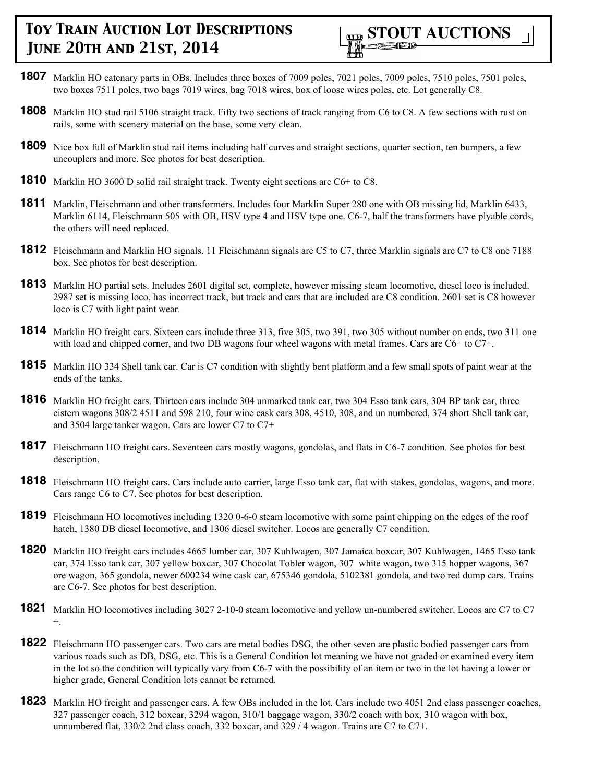

- **1807** Marklin HO catenary parts in OBs. Includes three boxes of 7009 poles, 7021 poles, 7009 poles, 7510 poles, 7501 poles, two boxes 7511 poles, two bags 7019 wires, bag 7018 wires, box of loose wires poles, etc. Lot generally C8.
- **1808** Marklin HO stud rail 5106 straight track. Fifty two sections of track ranging from C6 to C8. A few sections with rust on rails, some with scenery material on the base, some very clean.
- **1809** Nice box full of Marklin stud rail items including half curves and straight sections, quarter section, ten bumpers, a few uncouplers and more. See photos for best description.
- **1810** Marklin HO 3600 D solid rail straight track. Twenty eight sections are C6+ to C8.
- **1811** Marklin, Fleischmann and other transformers. Includes four Marklin Super 280 one with OB missing lid, Marklin 6433, Marklin 6114, Fleischmann 505 with OB, HSV type 4 and HSV type one. C6-7, half the transformers have plyable cords, the others will need replaced.
- **1812** Fleischmann and Marklin HO signals. 11 Fleischmann signals are C5 to C7, three Marklin signals are C7 to C8 one 7188 box. See photos for best description.
- **1813** Marklin HO partial sets. Includes 2601 digital set, complete, however missing steam locomotive, diesel loco is included. 2987 set is missing loco, has incorrect track, but track and cars that are included are C8 condition. 2601 set is C8 however loco is C7 with light paint wear.
- **1814** Marklin HO freight cars. Sixteen cars include three 313, five 305, two 391, two 305 without number on ends, two 311 one with load and chipped corner, and two DB wagons four wheel wagons with metal frames. Cars are C6+ to C7+.
- **1815** Marklin HO 334 Shell tank car. Car is C7 condition with slightly bent platform and a few small spots of paint wear at the ends of the tanks.
- **1816** Marklin HO freight cars. Thirteen cars include 304 unmarked tank car, two 304 Esso tank cars, 304 BP tank car, three cistern wagons 308/2 4511 and 598 210, four wine cask cars 308, 4510, 308, and un numbered, 374 short Shell tank car, and 3504 large tanker wagon. Cars are lower C7 to C7+
- **1817** Fleischmann HO freight cars. Seventeen cars mostly wagons, gondolas, and flats in C6-7 condition. See photos for best description.
- **1818** Fleischmann HO freight cars. Cars include auto carrier, large Esso tank car, flat with stakes, gondolas, wagons, and more. Cars range C6 to C7. See photos for best description.
- **1819** Fleischmann HO locomotives including 1320 0-6-0 steam locomotive with some paint chipping on the edges of the roof hatch, 1380 DB diesel locomotive, and 1306 diesel switcher. Locos are generally C7 condition.
- **1820** Marklin HO freight cars includes 4665 lumber car, 307 Kuhlwagen, 307 Jamaica boxcar, 307 Kuhlwagen, 1465 Esso tank car, 374 Esso tank car, 307 yellow boxcar, 307 Chocolat Tobler wagon, 307 white wagon, two 315 hopper wagons, 367 ore wagon, 365 gondola, newer 600234 wine cask car, 675346 gondola, 5102381 gondola, and two red dump cars. Trains are C6-7. See photos for best description.
- **1821** Marklin HO locomotives including 3027 2-10-0 steam locomotive and yellow un-numbered switcher. Locos are C7 to C7 +.
- **1822** Fleischmann HO passenger cars. Two cars are metal bodies DSG, the other seven are plastic bodied passenger cars from various roads such as DB, DSG, etc. This is a General Condition lot meaning we have not graded or examined every item in the lot so the condition will typically vary from C6-7 with the possibility of an item or two in the lot having a lower or higher grade, General Condition lots cannot be returned.
- **1823** Marklin HO freight and passenger cars. A few OBs included in the lot. Cars include two 4051 2nd class passenger coaches, 327 passenger coach, 312 boxcar, 3294 wagon, 310/1 baggage wagon, 330/2 coach with box, 310 wagon with box, unnumbered flat, 330/2 2nd class coach, 332 boxcar, and 329 / 4 wagon. Trains are C7 to C7+.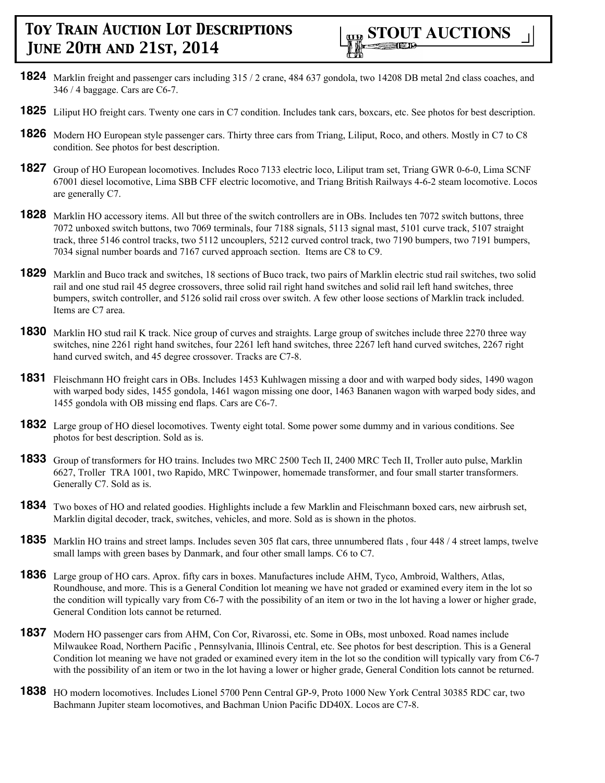- **1824** Marklin freight and passenger cars including 315 / 2 crane, 484 637 gondola, two 14208 DB metal 2nd class coaches, and 346 / 4 baggage. Cars are C6-7.
- **1825** Liliput HO freight cars. Twenty one cars in C7 condition. Includes tank cars, boxcars, etc. See photos for best description.
- **1826** Modern HO European style passenger cars. Thirty three cars from Triang, Liliput, Roco, and others. Mostly in C7 to C8 condition. See photos for best description.
- **1827** Group of HO European locomotives. Includes Roco 7133 electric loco, Liliput tram set, Triang GWR 0-6-0, Lima SCNF 67001 diesel locomotive, Lima SBB CFF electric locomotive, and Triang British Railways 4-6-2 steam locomotive. Locos are generally C7.
- **1828** Marklin HO accessory items. All but three of the switch controllers are in OBs. Includes ten 7072 switch buttons, three 7072 unboxed switch buttons, two 7069 terminals, four 7188 signals, 5113 signal mast, 5101 curve track, 5107 straight track, three 5146 control tracks, two 5112 uncouplers, 5212 curved control track, two 7190 bumpers, two 7191 bumpers, 7034 signal number boards and 7167 curved approach section. Items are C8 to C9.
- **1829** Marklin and Buco track and switches, 18 sections of Buco track, two pairs of Marklin electric stud rail switches, two solid rail and one stud rail 45 degree crossovers, three solid rail right hand switches and solid rail left hand switches, three bumpers, switch controller, and 5126 solid rail cross over switch. A few other loose sections of Marklin track included. Items are C7 area.
- **1830** Marklin HO stud rail K track. Nice group of curves and straights. Large group of switches include three 2270 three way switches, nine 2261 right hand switches, four 2261 left hand switches, three 2267 left hand curved switches, 2267 right hand curved switch, and 45 degree crossover. Tracks are C7-8.
- **1831** Fleischmann HO freight cars in OBs. Includes 1453 Kuhlwagen missing a door and with warped body sides, 1490 wagon with warped body sides, 1455 gondola, 1461 wagon missing one door, 1463 Bananen wagon with warped body sides, and 1455 gondola with OB missing end flaps. Cars are C6-7.
- **1832** Large group of HO diesel locomotives. Twenty eight total. Some power some dummy and in various conditions. See photos for best description. Sold as is.
- **1833** Group of transformers for HO trains. Includes two MRC 2500 Tech II, 2400 MRC Tech II, Troller auto pulse, Marklin 6627, Troller TRA 1001, two Rapido, MRC Twinpower, homemade transformer, and four small starter transformers. Generally C7. Sold as is.
- **1834** Two boxes of HO and related goodies. Highlights include a few Marklin and Fleischmann boxed cars, new airbrush set, Marklin digital decoder, track, switches, vehicles, and more. Sold as is shown in the photos.
- **1835** Marklin HO trains and street lamps. Includes seven 305 flat cars, three unnumbered flats, four 448 / 4 street lamps, twelve small lamps with green bases by Danmark, and four other small lamps. C6 to C7.
- **1836** Large group of HO cars. Aprox. fifty cars in boxes. Manufactures include AHM, Tyco, Ambroid, Walthers, Atlas, Roundhouse, and more. This is a General Condition lot meaning we have not graded or examined every item in the lot so the condition will typically vary from C6-7 with the possibility of an item or two in the lot having a lower or higher grade, General Condition lots cannot be returned.
- **1837** Modern HO passenger cars from AHM, Con Cor, Rivarossi, etc. Some in OBs, most unboxed. Road names include Milwaukee Road, Northern Pacific , Pennsylvania, Illinois Central, etc. See photos for best description. This is a General Condition lot meaning we have not graded or examined every item in the lot so the condition will typically vary from C6-7 with the possibility of an item or two in the lot having a lower or higher grade, General Condition lots cannot be returned.
- **1838** HO modern locomotives. Includes Lionel 5700 Penn Central GP-9, Proto 1000 New York Central 30385 RDC car, two Bachmann Jupiter steam locomotives, and Bachman Union Pacific DD40X. Locos are C7-8.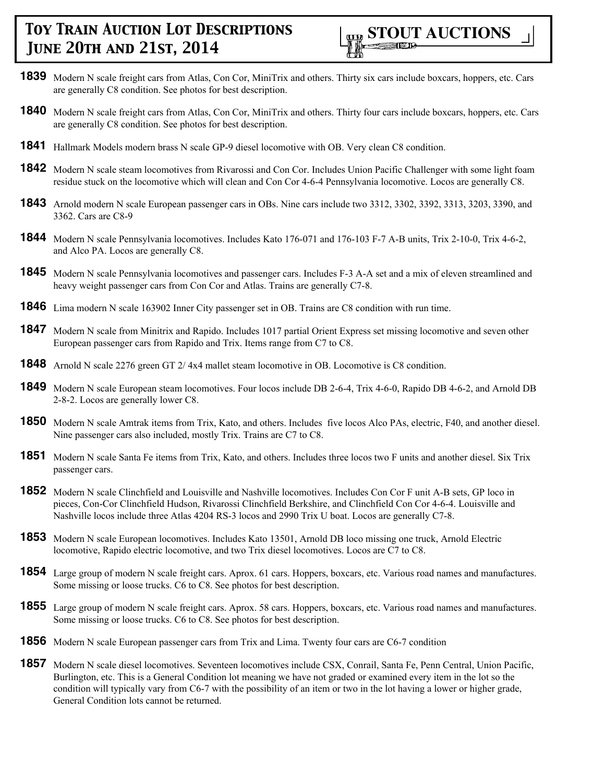

- **1839** Modern N scale freight cars from Atlas, Con Cor, MiniTrix and others. Thirty six cars include boxcars, hoppers, etc. Cars are generally C8 condition. See photos for best description.
- **1840** Modern N scale freight cars from Atlas, Con Cor, MiniTrix and others. Thirty four cars include boxcars, hoppers, etc. Cars are generally C8 condition. See photos for best description.
- **1841** Hallmark Models modern brass N scale GP-9 diesel locomotive with OB. Very clean C8 condition.
- **1842** Modern N scale steam locomotives from Rivarossi and Con Cor. Includes Union Pacific Challenger with some light foam residue stuck on the locomotive which will clean and Con Cor 4-6-4 Pennsylvania locomotive. Locos are generally C8.
- **1843** Arnold modern N scale European passenger cars in OBs. Nine cars include two 3312, 3302, 3392, 3313, 3203, 3390, and 3362. Cars are C8-9
- **1844** Modern N scale Pennsylvania locomotives. Includes Kato 176-071 and 176-103 F-7 A-B units, Trix 2-10-0, Trix 4-6-2, and Alco PA. Locos are generally C8.
- **1845** Modern N scale Pennsylvania locomotives and passenger cars. Includes F-3 A-A set and a mix of eleven streamlined and heavy weight passenger cars from Con Cor and Atlas. Trains are generally C7-8.
- **1846** Lima modern N scale 163902 Inner City passenger set in OB. Trains are C8 condition with run time.
- **1847** Modern N scale from Minitrix and Rapido. Includes 1017 partial Orient Express set missing locomotive and seven other European passenger cars from Rapido and Trix. Items range from C7 to C8.
- **1848** Arnold N scale 2276 green GT 2/4x4 mallet steam locomotive in OB. Locomotive is C8 condition.
- **1849** Modern N scale European steam locomotives. Four locos include DB 2-6-4, Trix 4-6-0, Rapido DB 4-6-2, and Arnold DB 2-8-2. Locos are generally lower C8.
- **1850** Modern N scale Amtrak items from Trix, Kato, and others. Includes five locos Alco PAs, electric, F40, and another diesel. Nine passenger cars also included, mostly Trix. Trains are C7 to C8.
- **1851** Modern N scale Santa Fe items from Trix, Kato, and others. Includes three locos two F units and another diesel. Six Trix passenger cars.
- **1852** Modern N scale Clinchfield and Louisville and Nashville locomotives. Includes Con Cor F unit A-B sets, GP loco in pieces, Con-Cor Clinchfield Hudson, Rivarossi Clinchfield Berkshire, and Clinchfield Con Cor 4-6-4. Louisville and Nashville locos include three Atlas 4204 RS-3 locos and 2990 Trix U boat. Locos are generally C7-8.
- **1853** Modern N scale European locomotives. Includes Kato 13501, Arnold DB loco missing one truck, Arnold Electric locomotive, Rapido electric locomotive, and two Trix diesel locomotives. Locos are C7 to C8.
- **1854** Large group of modern N scale freight cars. Aprox. 61 cars. Hoppers, boxcars, etc. Various road names and manufactures. Some missing or loose trucks. C6 to C8. See photos for best description.
- **1855** Large group of modern N scale freight cars. Aprox. 58 cars. Hoppers, boxcars, etc. Various road names and manufactures. Some missing or loose trucks. C6 to C8. See photos for best description.
- **1856** Modern N scale European passenger cars from Trix and Lima. Twenty four cars are C6-7 condition
- **1857** Modern N scale diesel locomotives. Seventeen locomotives include CSX, Conrail, Santa Fe, Penn Central, Union Pacific, Burlington, etc. This is a General Condition lot meaning we have not graded or examined every item in the lot so the condition will typically vary from C6-7 with the possibility of an item or two in the lot having a lower or higher grade, General Condition lots cannot be returned.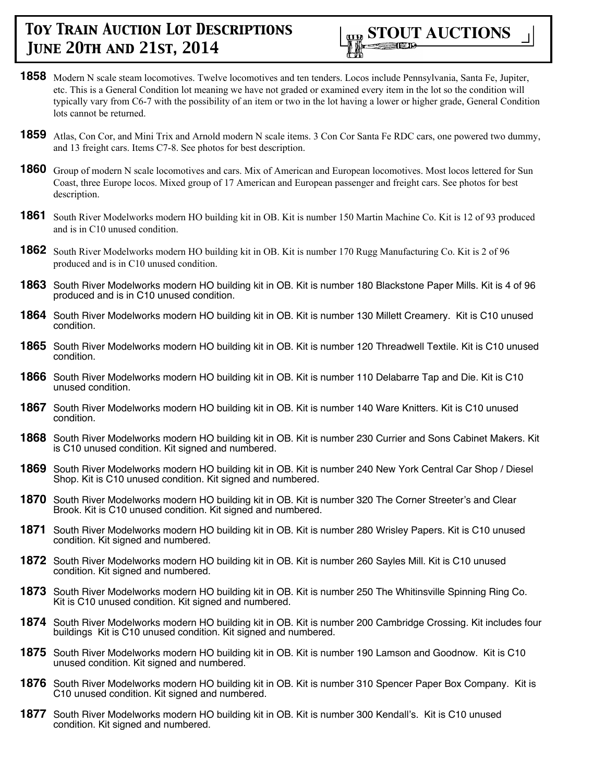

- **1858** Modern N scale steam locomotives. Twelve locomotives and ten tenders. Locos include Pennsylvania, Santa Fe, Jupiter, etc. This is a General Condition lot meaning we have not graded or examined every item in the lot so the condition will typically vary from C6-7 with the possibility of an item or two in the lot having a lower or higher grade, General Condition lots cannot be returned.
- **1859** Atlas, Con Cor, and Mini Trix and Arnold modern N scale items. 3 Con Cor Santa Fe RDC cars, one powered two dummy, and 13 freight cars. Items C7-8. See photos for best description.
- **1860** Group of modern N scale locomotives and cars. Mix of American and European locomotives. Most locos lettered for Sun Coast, three Europe locos. Mixed group of 17 American and European passenger and freight cars. See photos for best description.
- **1861** South River Modelworks modern HO building kit in OB. Kit is number 150 Martin Machine Co. Kit is 12 of 93 produced and is in C10 unused condition.
- **1862** South River Modelworks modern HO building kit in OB. Kit is number 170 Rugg Manufacturing Co. Kit is 2 of 96 produced and is in C10 unused condition.
- **1863** South River Modelworks modern HO building kit in OB. Kit is number 180 Blackstone Paper Mills. Kit is 4 of 96 produced and is in C10 unused condition.
- **1864** South River Modelworks modern HO building kit in OB. Kit is number 130 Millett Creamery. Kit is C10 unused condition.
- **1865** South River Modelworks modern HO building kit in OB. Kit is number 120 Threadwell Textile. Kit is C10 unused condition.
- **1866** South River Modelworks modern HO building kit in OB. Kit is number 110 Delabarre Tap and Die. Kit is C10 unused condition.
- **1867** South River Modelworks modern HO building kit in OB. Kit is number 140 Ware Knitters. Kit is C10 unused condition.
- **1868** South River Modelworks modern HO building kit in OB. Kit is number 230 Currier and Sons Cabinet Makers. Kit is C10 unused condition. Kit signed and numbered.
- **1869** South River Modelworks modern HO building kit in OB. Kit is number 240 New York Central Car Shop / Diesel Shop. Kit is C10 unused condition. Kit signed and numbered.
- **1870** South River Modelworks modern HO building kit in OB. Kit is number 320 The Corner Streeter's and Clear Brook. Kit is C10 unused condition. Kit signed and numbered.
- **1871** South River Modelworks modern HO building kit in OB. Kit is number 280 Wrisley Papers. Kit is C10 unused condition. Kit signed and numbered.
- **1872** South River Modelworks modern HO building kit in OB. Kit is number 260 Sayles Mill. Kit is C10 unused condition. Kit signed and numbered.
- **1873** South River Modelworks modern HO building kit in OB. Kit is number 250 The Whitinsville Spinning Ring Co. Kit is C10 unused condition. Kit signed and numbered.
- **1874** South River Modelworks modern HO building kit in OB. Kit is number 200 Cambridge Crossing. Kit includes four buildings Kit is C10 unused condition. Kit signed and numbered.
- **1875** South River Modelworks modern HO building kit in OB. Kit is number 190 Lamson and Goodnow. Kit is C10 unused condition. Kit signed and numbered.
- **1876** South River Modelworks modern HO building kit in OB. Kit is number 310 Spencer Paper Box Company. Kit is C10 unused condition. Kit signed and numbered.
- **1877** South River Modelworks modern HO building kit in OB. Kit is number 300 Kendall's. Kit is C10 unused condition. Kit signed and numbered.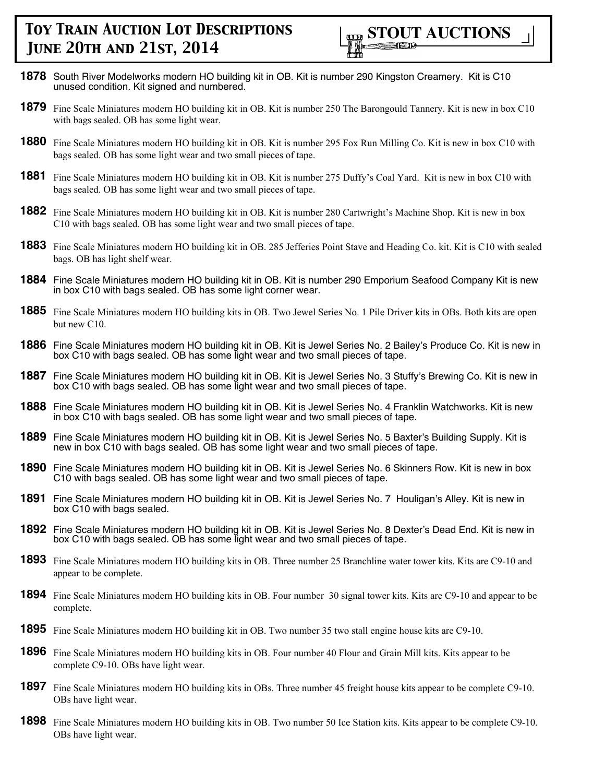

- **1878** South River Modelworks modern HO building kit in OB. Kit is number 290 Kingston Creamery. Kit is C10 unused condition. Kit signed and numbered.
- **1879** Fine Scale Miniatures modern HO building kit in OB. Kit is number 250 The Barongould Tannery. Kit is new in box C10 with bags sealed. OB has some light wear.
- **1880** Fine Scale Miniatures modern HO building kit in OB. Kit is number 295 Fox Run Milling Co. Kit is new in box C10 with bags sealed. OB has some light wear and two small pieces of tape.
- **1881** Fine Scale Miniatures modern HO building kit in OB. Kit is number 275 Duffy's Coal Yard. Kit is new in box C10 with bags sealed. OB has some light wear and two small pieces of tape.
- **1882** Fine Scale Miniatures modern HO building kit in OB. Kit is number 280 Cartwright's Machine Shop. Kit is new in box C10 with bags sealed. OB has some light wear and two small pieces of tape.
- **1883** Fine Scale Miniatures modern HO building kit in OB. 285 Jefferies Point Stave and Heading Co. kit. Kit is C10 with sealed bags. OB has light shelf wear.
- **1884** Fine Scale Miniatures modern HO building kit in OB. Kit is number 290 Emporium Seafood Company Kit is new in box C10 with bags sealed. OB has some light corner wear.
- **1885** Fine Scale Miniatures modern HO building kits in OB. Two Jewel Series No. 1 Pile Driver kits in OBs. Both kits are open but new C10.
- **1886** Fine Scale Miniatures modern HO building kit in OB. Kit is Jewel Series No. 2 Bailey's Produce Co. Kit is new in box C10 with bags sealed. OB has some light wear and two small pieces of tape.
- **1887** Fine Scale Miniatures modern HO building kit in OB. Kit is Jewel Series No. 3 Stuffy's Brewing Co. Kit is new in box C10 with bags sealed. OB has some light wear and two small pieces of tape.
- **1888** Fine Scale Miniatures modern HO building kit in OB. Kit is Jewel Series No. 4 Franklin Watchworks. Kit is new in box C10 with bags sealed. OB has some light wear and two small pieces of tape.
- **1889** Fine Scale Miniatures modern HO building kit in OB. Kit is Jewel Series No. 5 Baxter's Building Supply. Kit is new in box C10 with bags sealed. OB has some light wear and two small pieces of tape.
- **1890** Fine Scale Miniatures modern HO building kit in OB. Kit is Jewel Series No. 6 Skinners Row. Kit is new in box C10 with bags sealed. OB has some light wear and two small pieces of tape.
- **1891** Fine Scale Miniatures modern HO building kit in OB. Kit is Jewel Series No. 7 Houligan's Alley. Kit is new in box C10 with bags sealed.
- **1892** Fine Scale Miniatures modern HO building kit in OB. Kit is Jewel Series No. 8 Dexter's Dead End. Kit is new in box C10 with bags sealed. OB has some light wear and two small pieces of tape.
- **1893** Fine Scale Miniatures modern HO building kits in OB. Three number 25 Branchline water tower kits. Kits are C9-10 and appear to be complete.
- **1894** Fine Scale Miniatures modern HO building kits in OB. Four number 30 signal tower kits. Kits are C9-10 and appear to be complete.
- **1895** Fine Scale Miniatures modern HO building kit in OB. Two number 35 two stall engine house kits are C9-10.
- **1896** Fine Scale Miniatures modern HO building kits in OB. Four number 40 Flour and Grain Mill kits. Kits appear to be complete C9-10. OBs have light wear.
- **1897** Fine Scale Miniatures modern HO building kits in OBs. Three number 45 freight house kits appear to be complete C9-10. OBs have light wear.
- **1898** Fine Scale Miniatures modern HO building kits in OB. Two number 50 Ice Station kits. Kits appear to be complete C9-10. OBs have light wear.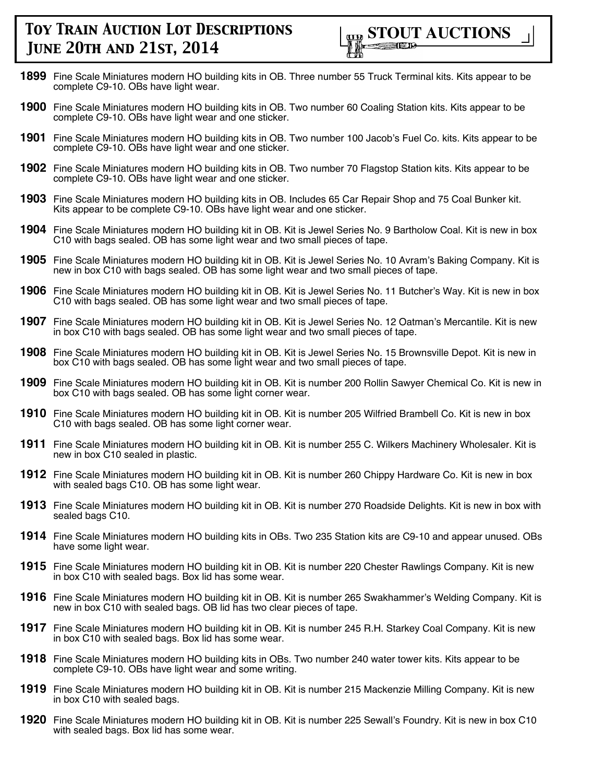

- **1899** Fine Scale Miniatures modern HO building kits in OB. Three number 55 Truck Terminal kits. Kits appear to be complete C9-10. OBs have light wear.
- **1900** Fine Scale Miniatures modern HO building kits in OB. Two number 60 Coaling Station kits. Kits appear to be complete C9-10. OBs have light wear and one sticker.
- **1901** Fine Scale Miniatures modern HO building kits in OB. Two number 100 Jacob's Fuel Co. kits. Kits appear to be complete C9-10. OBs have light wear and one sticker.
- **1902** Fine Scale Miniatures modern HO building kits in OB. Two number 70 Flagstop Station kits. Kits appear to be complete C9-10. OBs have light wear and one sticker.
- **1903** Fine Scale Miniatures modern HO building kits in OB. Includes 65 Car Repair Shop and 75 Coal Bunker kit. Kits appear to be complete C9-10. OBs have light wear and one sticker.
- **1904** Fine Scale Miniatures modern HO building kit in OB. Kit is Jewel Series No. 9 Bartholow Coal. Kit is new in box C10 with bags sealed. OB has some light wear and two small pieces of tape.
- **1905** Fine Scale Miniatures modern HO building kit in OB. Kit is Jewel Series No. 10 Avram's Baking Company. Kit is new in box C10 with bags sealed. OB has some light wear and two small pieces of tape.
- **1906** Fine Scale Miniatures modern HO building kit in OB. Kit is Jewel Series No. 11 Butcher's Way. Kit is new in box C10 with bags sealed. OB has some light wear and two small pieces of tape.
- **1907** Fine Scale Miniatures modern HO building kit in OB. Kit is Jewel Series No. 12 Oatman's Mercantile. Kit is new in box C10 with bags sealed. OB has some light wear and two small pieces of tape.
- **1908** Fine Scale Miniatures modern HO building kit in OB. Kit is Jewel Series No. 15 Brownsville Depot. Kit is new in box C10 with bags sealed. OB has some light wear and two small pieces of tape.
- **1909** Fine Scale Miniatures modern HO building kit in OB. Kit is number 200 Rollin Sawyer Chemical Co. Kit is new in box C10 with bags sealed. OB has some light corner wear.
- **1910** Fine Scale Miniatures modern HO building kit in OB. Kit is number 205 Wilfried Brambell Co. Kit is new in box C10 with bags sealed. OB has some light corner wear.
- **1911** Fine Scale Miniatures modern HO building kit in OB. Kit is number 255 C. Wilkers Machinery Wholesaler. Kit is new in box C10 sealed in plastic.
- **1912** Fine Scale Miniatures modern HO building kit in OB. Kit is number 260 Chippy Hardware Co. Kit is new in box with sealed bags C10. OB has some light wear.
- **1913** Fine Scale Miniatures modern HO building kit in OB. Kit is number 270 Roadside Delights. Kit is new in box with sealed bags C10.
- **1914** Fine Scale Miniatures modern HO building kits in OBs. Two 235 Station kits are C9-10 and appear unused. OBs have some light wear.
- **1915** Fine Scale Miniatures modern HO building kit in OB. Kit is number 220 Chester Rawlings Company. Kit is new in box C10 with sealed bags. Box lid has some wear.
- **1916** Fine Scale Miniatures modern HO building kit in OB. Kit is number 265 Swakhammer's Welding Company. Kit is new in box C10 with sealed bags. OB lid has two clear pieces of tape.
- **1917** Fine Scale Miniatures modern HO building kit in OB. Kit is number 245 R.H. Starkey Coal Company. Kit is new in box C10 with sealed bags. Box lid has some wear.
- **1918** Fine Scale Miniatures modern HO building kits in OBs. Two number 240 water tower kits. Kits appear to be complete C9-10. OBs have light wear and some writing.
- **1919** Fine Scale Miniatures modern HO building kit in OB. Kit is number 215 Mackenzie Milling Company. Kit is new in box C10 with sealed bags.
- **1920** Fine Scale Miniatures modern HO building kit in OB. Kit is number 225 Sewall's Foundry. Kit is new in box C10 with sealed bags. Box lid has some wear.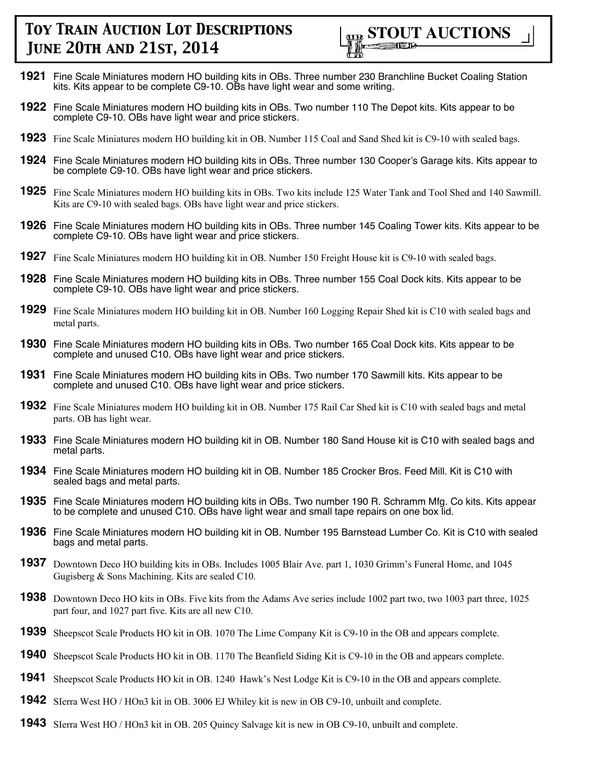

- **1921** Fine Scale Miniatures modern HO building kits in OBs. Three number 230 Branchline Bucket Coaling Station kits. Kits appear to be complete C9-10. OBs have light wear and some writing.
- **1922** Fine Scale Miniatures modern HO building kits in OBs. Two number 110 The Depot kits. Kits appear to be complete C9-10. OBs have light wear and price stickers.
- **1923** Fine Scale Miniatures modern HO building kit in OB. Number 115 Coal and Sand Shed kit is C9-10 with sealed bags.
- **1924** Fine Scale Miniatures modern HO building kits in OBs. Three number 130 Cooper's Garage kits. Kits appear to be complete C9-10. OBs have light wear and price stickers.
- **1925** Fine Scale Miniatures modern HO building kits in OBs. Two kits include 125 Water Tank and Tool Shed and 140 Sawmill. Kits are C9-10 with sealed bags. OBs have light wear and price stickers.
- **1926** Fine Scale Miniatures modern HO building kits in OBs. Three number 145 Coaling Tower kits. Kits appear to be complete C9-10. OBs have light wear and price stickers.
- **1927** Fine Scale Miniatures modern HO building kit in OB. Number 150 Freight House kit is C9-10 with sealed bags.
- **1928** Fine Scale Miniatures modern HO building kits in OBs. Three number 155 Coal Dock kits. Kits appear to be complete C9-10. OBs have light wear and price stickers.
- **1929** Fine Scale Miniatures modern HO building kit in OB. Number 160 Logging Repair Shed kit is C10 with sealed bags and metal parts.
- **1930** Fine Scale Miniatures modern HO building kits in OBs. Two number 165 Coal Dock kits. Kits appear to be complete and unused C10. OBs have light wear and price stickers.
- **1931** Fine Scale Miniatures modern HO building kits in OBs. Two number 170 Sawmill kits. Kits appear to be complete and unused C10. OBs have light wear and price stickers.
- **1932** Fine Scale Miniatures modern HO building kit in OB. Number 175 Rail Car Shed kit is C10 with sealed bags and metal parts. OB has light wear.
- **1933** Fine Scale Miniatures modern HO building kit in OB. Number 180 Sand House kit is C10 with sealed bags and metal parts.
- **1934** Fine Scale Miniatures modern HO building kit in OB. Number 185 Crocker Bros. Feed Mill. Kit is C10 with sealed bags and metal parts.
- **1935** Fine Scale Miniatures modern HO building kits in OBs. Two number 190 R. Schramm Mfg. Co kits. Kits appear to be complete and unused C10. OBs have light wear and small tape repairs on one box lid.
- **1936** Fine Scale Miniatures modern HO building kit in OB. Number 195 Barnstead Lumber Co. Kit is C10 with sealed bags and metal parts.
- **1937** Downtown Deco HO building kits in OBs. Includes 1005 Blair Ave. part 1, 1030 Grimm's Funeral Home, and 1045 Gugisberg & Sons Machining. Kits are sealed C10.
- **1938** Downtown Deco HO kits in OBs. Five kits from the Adams Ave series include 1002 part two, two 1003 part three, 1025 part four, and 1027 part five. Kits are all new C10.
- **1939** Sheepscot Scale Products HO kit in OB. 1070 The Lime Company Kit is C9-10 in the OB and appears complete.
- **1940** Sheepscot Scale Products HO kit in OB. 1170 The Beanfield Siding Kit is C9-10 in the OB and appears complete.
- **1941** Sheepscot Scale Products HO kit in OB. 1240 Hawk's Nest Lodge Kit is C9-10 in the OB and appears complete.
- **1942** SIerra West HO / HOn3 kit in OB. 3006 EJ Whiley kit is new in OB C9-10, unbuilt and complete.
- **1943** SIerra West HO / HOn3 kit in OB. 205 Quincy Salvage kit is new in OB C9-10, unbuilt and complete.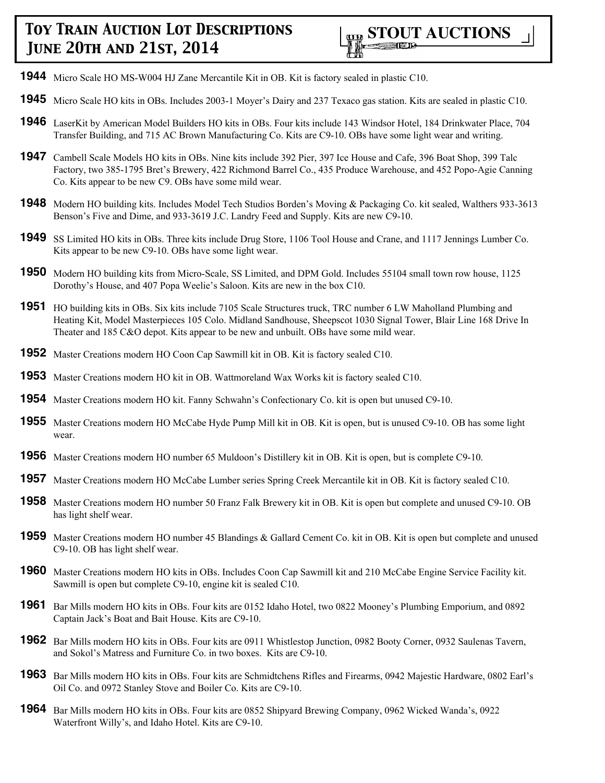- **1944** Micro Scale HO MS-W004 HJ Zane Mercantile Kit in OB. Kit is factory sealed in plastic C10.
- **1945** Micro Scale HO kits in OBs. Includes 2003-1 Moyer's Dairy and 237 Texaco gas station. Kits are sealed in plastic C10.
- **1946** LaserKit by American Model Builders HO kits in OBs. Four kits include 143 Windsor Hotel, 184 Drinkwater Place, 704 Transfer Building, and 715 AC Brown Manufacturing Co. Kits are C9-10. OBs have some light wear and writing.
- **1947** Cambell Scale Models HO kits in OBs. Nine kits include 392 Pier, 397 Ice House and Cafe, 396 Boat Shop, 399 Talc Factory, two 385-1795 Bret's Brewery, 422 Richmond Barrel Co., 435 Produce Warehouse, and 452 Popo-Agie Canning Co. Kits appear to be new C9. OBs have some mild wear.
- **1948** Modern HO building kits. Includes Model Tech Studios Borden's Moving & Packaging Co. kit sealed, Walthers 933-3613 Benson's Five and Dime, and 933-3619 J.C. Landry Feed and Supply. Kits are new C9-10.
- **1949** SS Limited HO kits in OBs. Three kits include Drug Store, 1106 Tool House and Crane, and 1117 Jennings Lumber Co. Kits appear to be new C9-10. OBs have some light wear.
- **1950** Modern HO building kits from Micro-Scale, SS Limited, and DPM Gold. Includes 55104 small town row house, 1125 Dorothy's House, and 407 Popa Weelie's Saloon. Kits are new in the box C10.
- **1951** HO building kits in OBs. Six kits include 7105 Scale Structures truck, TRC number 6 LW Maholland Plumbing and Heating Kit, Model Masterpieces 105 Colo. Midland Sandhouse, Sheepscot 1030 Signal Tower, Blair Line 168 Drive In Theater and 185 C&O depot. Kits appear to be new and unbuilt. OBs have some mild wear.
- **1952** Master Creations modern HO Coon Cap Sawmill kit in OB. Kit is factory sealed C10.
- **1953** Master Creations modern HO kit in OB. Wattmoreland Wax Works kit is factory sealed C10.
- **1954** Master Creations modern HO kit. Fanny Schwahn's Confectionary Co. kit is open but unused C9-10.
- **1955** Master Creations modern HO McCabe Hyde Pump Mill kit in OB. Kit is open, but is unused C9-10. OB has some light wear.
- **1956** Master Creations modern HO number 65 Muldoon's Distillery kit in OB. Kit is open, but is complete C9-10.
- **1957** Master Creations modern HO McCabe Lumber series Spring Creek Mercantile kit in OB. Kit is factory sealed C10.
- **1958** Master Creations modern HO number 50 Franz Falk Brewery kit in OB. Kit is open but complete and unused C9-10. OB has light shelf wear.
- **1959** Master Creations modern HO number 45 Blandings & Gallard Cement Co. kit in OB. Kit is open but complete and unused C9-10. OB has light shelf wear.
- **1960** Master Creations modern HO kits in OBs. Includes Coon Cap Sawmill kit and 210 McCabe Engine Service Facility kit. Sawmill is open but complete C9-10, engine kit is sealed C10.
- **1961** Bar Mills modern HO kits in OBs. Four kits are 0152 Idaho Hotel, two 0822 Mooney's Plumbing Emporium, and 0892 Captain Jack's Boat and Bait House. Kits are C9-10.
- **1962** Bar Mills modern HO kits in OBs. Four kits are 0911 Whistlestop Junction, 0982 Booty Corner, 0932 Saulenas Tavern, and Sokol's Matress and Furniture Co. in two boxes. Kits are C9-10.
- **1963** Bar Mills modern HO kits in OBs. Four kits are Schmidtchens Rifles and Firearms, 0942 Majestic Hardware, 0802 Earl's Oil Co. and 0972 Stanley Stove and Boiler Co. Kits are C9-10.
- **1964** Bar Mills modern HO kits in OBs. Four kits are 0852 Shipyard Brewing Company, 0962 Wicked Wanda's, 0922 Waterfront Willy's, and Idaho Hotel. Kits are C9-10.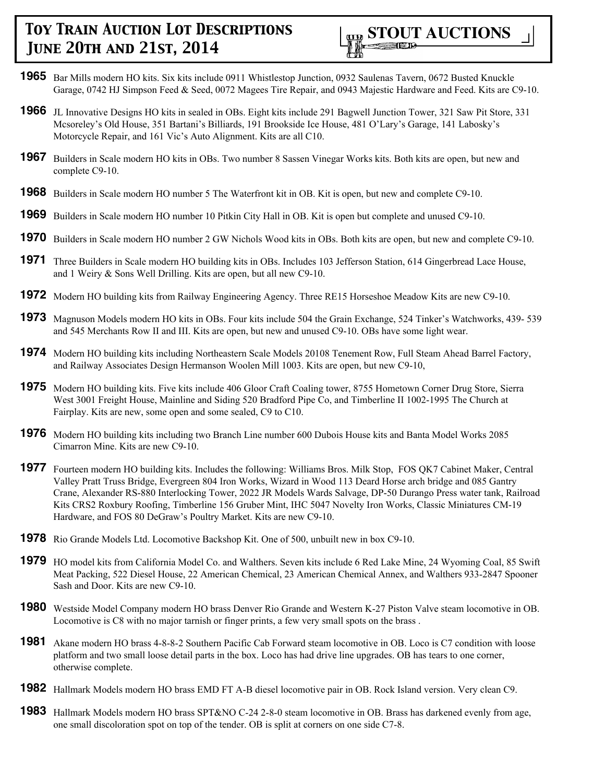

- **1965** Bar Mills modern HO kits. Six kits include 0911 Whistlestop Junction, 0932 Saulenas Tavern, 0672 Busted Knuckle Garage, 0742 HJ Simpson Feed & Seed, 0072 Magees Tire Repair, and 0943 Majestic Hardware and Feed. Kits are C9-10.
- **1966** JL Innovative Designs HO kits in sealed in OBs. Eight kits include 291 Bagwell Junction Tower, 321 Saw Pit Store, 331 Mcsoreley's Old House, 351 Bartani's Billiards, 191 Brookside Ice House, 481 O'Lary's Garage, 141 Labosky's Motorcycle Repair, and 161 Vic's Auto Alignment. Kits are all C10.
- **1967** Builders in Scale modern HO kits in OBs. Two number 8 Sassen Vinegar Works kits. Both kits are open, but new and complete C9-10.
- **1968** Builders in Scale modern HO number 5 The Waterfront kit in OB. Kit is open, but new and complete C9-10.
- **1969** Builders in Scale modern HO number 10 Pitkin City Hall in OB. Kit is open but complete and unused C9-10.
- **1970** Builders in Scale modern HO number 2 GW Nichols Wood kits in OBs. Both kits are open, but new and complete C9-10.
- **1971** Three Builders in Scale modern HO building kits in OBs. Includes 103 Jefferson Station, 614 Gingerbread Lace House, and 1 Weiry & Sons Well Drilling. Kits are open, but all new C9-10.
- **1972** Modern HO building kits from Railway Engineering Agency. Three RE15 Horseshoe Meadow Kits are new C9-10.
- **1973** Magnuson Models modern HO kits in OBs. Four kits include 504 the Grain Exchange, 524 Tinker's Watchworks, 439- 539 and 545 Merchants Row II and III. Kits are open, but new and unused C9-10. OBs have some light wear.
- **1974** Modern HO building kits including Northeastern Scale Models 20108 Tenement Row, Full Steam Ahead Barrel Factory, and Railway Associates Design Hermanson Woolen Mill 1003. Kits are open, but new C9-10,
- **1975** Modern HO building kits. Five kits include 406 Gloor Craft Coaling tower, 8755 Hometown Corner Drug Store, Sierra West 3001 Freight House, Mainline and Siding 520 Bradford Pipe Co, and Timberline II 1002-1995 The Church at Fairplay. Kits are new, some open and some sealed, C9 to C10.
- **1976** Modern HO building kits including two Branch Line number 600 Dubois House kits and Banta Model Works 2085 Cimarron Mine. Kits are new C9-10.
- **1977** Fourteen modern HO building kits. Includes the following: Williams Bros. Milk Stop, FOS QK7 Cabinet Maker, Central Valley Pratt Truss Bridge, Evergreen 804 Iron Works, Wizard in Wood 113 Deard Horse arch bridge and 085 Gantry Crane, Alexander RS-880 Interlocking Tower, 2022 JR Models Wards Salvage, DP-50 Durango Press water tank, Railroad Kits CRS2 Roxbury Roofing, Timberline 156 Gruber Mint, IHC 5047 Novelty Iron Works, Classic Miniatures CM-19 Hardware, and FOS 80 DeGraw's Poultry Market. Kits are new C9-10.
- **1978** Rio Grande Models Ltd. Locomotive Backshop Kit. One of 500, unbuilt new in box C9-10.
- **1979** HO model kits from California Model Co. and Walthers. Seven kits include 6 Red Lake Mine, 24 Wyoming Coal, 85 Swift Meat Packing, 522 Diesel House, 22 American Chemical, 23 American Chemical Annex, and Walthers 933-2847 Spooner Sash and Door. Kits are new C9-10.
- **1980** Westside Model Company modern HO brass Denver Rio Grande and Western K-27 Piston Valve steam locomotive in OB. Locomotive is C8 with no major tarnish or finger prints, a few very small spots on the brass .
- **1981** Akane modern HO brass 4-8-8-2 Southern Pacific Cab Forward steam locomotive in OB. Loco is C7 condition with loose platform and two small loose detail parts in the box. Loco has had drive line upgrades. OB has tears to one corner, otherwise complete.
- **1982** Hallmark Models modern HO brass EMD FT A-B diesel locomotive pair in OB. Rock Island version. Very clean C9.
- **1983** Hallmark Models modern HO brass SPT&NO C-24 2-8-0 steam locomotive in OB. Brass has darkened evenly from age, one small discoloration spot on top of the tender. OB is split at corners on one side C7-8.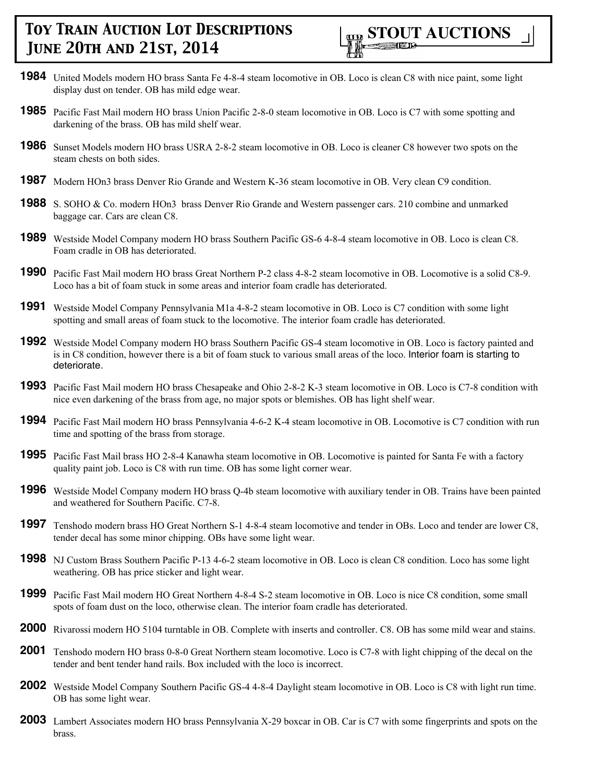- **1984** United Models modern HO brass Santa Fe 4-8-4 steam locomotive in OB. Loco is clean C8 with nice paint, some light display dust on tender. OB has mild edge wear.
- **1985** Pacific Fast Mail modern HO brass Union Pacific 2-8-0 steam locomotive in OB. Loco is C7 with some spotting and darkening of the brass. OB has mild shelf wear.
- **1986** Sunset Models modern HO brass USRA 2-8-2 steam locomotive in OB. Loco is cleaner C8 however two spots on the steam chests on both sides.
- **1987** Modern HOn3 brass Denver Rio Grande and Western K-36 steam locomotive in OB. Very clean C9 condition.
- **1988** S. SOHO & Co. modern HOn3 brass Denver Rio Grande and Western passenger cars. 210 combine and unmarked baggage car. Cars are clean C8.
- **1989** Westside Model Company modern HO brass Southern Pacific GS-6 4-8-4 steam locomotive in OB. Loco is clean C8. Foam cradle in OB has deteriorated.
- **1990** Pacific Fast Mail modern HO brass Great Northern P-2 class 4-8-2 steam locomotive in OB. Locomotive is a solid C8-9. Loco has a bit of foam stuck in some areas and interior foam cradle has deteriorated.
- **1991** Westside Model Company Pennsylvania M1a 4-8-2 steam locomotive in OB. Loco is C7 condition with some light spotting and small areas of foam stuck to the locomotive. The interior foam cradle has deteriorated.
- **1992** Westside Model Company modern HO brass Southern Pacific GS-4 steam locomotive in OB. Loco is factory painted and is in C8 condition, however there is a bit of foam stuck to various small areas of the loco. Interior foam is starting to deteriorate.
- **1993** Pacific Fast Mail modern HO brass Chesapeake and Ohio 2-8-2 K-3 steam locomotive in OB. Loco is C7-8 condition with nice even darkening of the brass from age, no major spots or blemishes. OB has light shelf wear.
- **1994** Pacific Fast Mail modern HO brass Pennsylvania 4-6-2 K-4 steam locomotive in OB. Locomotive is C7 condition with run time and spotting of the brass from storage.
- **1995** Pacific Fast Mail brass HO 2-8-4 Kanawha steam locomotive in OB. Locomotive is painted for Santa Fe with a factory quality paint job. Loco is C8 with run time. OB has some light corner wear.
- **1996** Westside Model Company modern HO brass Q-4b steam locomotive with auxiliary tender in OB. Trains have been painted and weathered for Southern Pacific. C7-8.
- **1997** Tenshodo modern brass HO Great Northern S-1 4-8-4 steam locomotive and tender in OBs. Loco and tender are lower C8, tender decal has some minor chipping. OBs have some light wear.
- **1998** NJ Custom Brass Southern Pacific P-13 4-6-2 steam locomotive in OB. Loco is clean C8 condition. Loco has some light weathering. OB has price sticker and light wear.
- **1999** Pacific Fast Mail modern HO Great Northern 4-8-4 S-2 steam locomotive in OB. Loco is nice C8 condition, some small spots of foam dust on the loco, otherwise clean. The interior foam cradle has deteriorated.
- **2000** Rivarossi modern HO 5104 turntable in OB. Complete with inserts and controller. C8. OB has some mild wear and stains.
- **2001** Tenshodo modern HO brass 0-8-0 Great Northern steam locomotive. Loco is C7-8 with light chipping of the decal on the tender and bent tender hand rails. Box included with the loco is incorrect.
- **2002** Westside Model Company Southern Pacific GS-4 4-8-4 Daylight steam locomotive in OB. Loco is C8 with light run time. OB has some light wear.
- **2003** Lambert Associates modern HO brass Pennsylvania X-29 boxcar in OB. Car is C7 with some fingerprints and spots on the brass.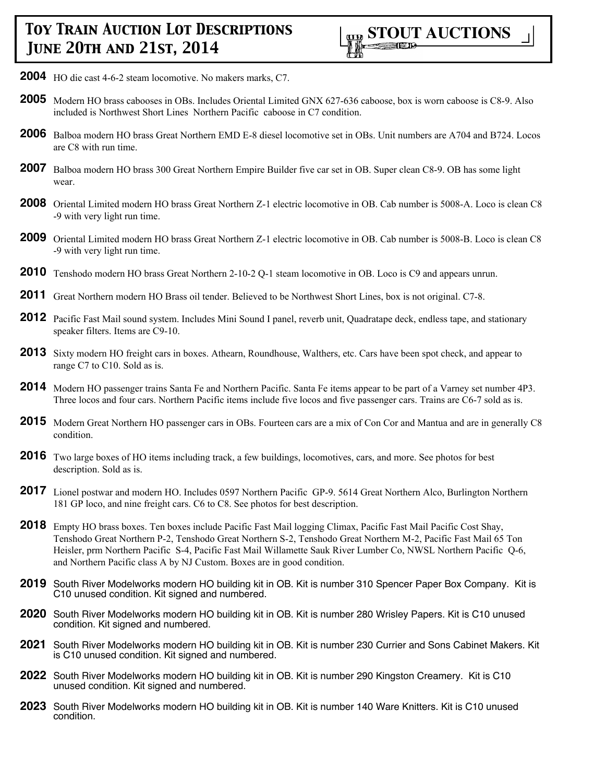

- **2004** HO die cast 4-6-2 steam locomotive. No makers marks, C7.
- **2005** Modern HO brass cabooses in OBs. Includes Oriental Limited GNX 627-636 caboose, box is worn caboose is C8-9. Also included is Northwest Short Lines Northern Pacific caboose in C7 condition.
- **2006** Balboa modern HO brass Great Northern EMD E-8 diesel locomotive set in OBs. Unit numbers are A704 and B724. Locos are C8 with run time.
- **2007** Balboa modern HO brass 300 Great Northern Empire Builder five car set in OB. Super clean C8-9. OB has some light wear.
- **2008** Oriental Limited modern HO brass Great Northern Z-1 electric locomotive in OB. Cab number is 5008-A. Loco is clean C8 -9 with very light run time.
- **2009** Oriental Limited modern HO brass Great Northern Z-1 electric locomotive in OB. Cab number is 5008-B. Loco is clean C8 -9 with very light run time.
- **2010** Tenshodo modern HO brass Great Northern 2-10-2 Q-1 steam locomotive in OB. Loco is C9 and appears unrun.
- **2011** Great Northern modern HO Brass oil tender. Believed to be Northwest Short Lines, box is not original. C7-8.
- **2012** Pacific Fast Mail sound system. Includes Mini Sound I panel, reverb unit, Quadratape deck, endless tape, and stationary speaker filters. Items are C9-10.
- **2013** Sixty modern HO freight cars in boxes. Athearn, Roundhouse, Walthers, etc. Cars have been spot check, and appear to range C7 to C10. Sold as is.
- **2014** Modern HO passenger trains Santa Fe and Northern Pacific. Santa Fe items appear to be part of a Varney set number 4P3. Three locos and four cars. Northern Pacific items include five locos and five passenger cars. Trains are C6-7 sold as is.
- **2015** Modern Great Northern HO passenger cars in OBs. Fourteen cars are a mix of Con Cor and Mantua and are in generally C8 condition.
- **2016** Two large boxes of HO items including track, a few buildings, locomotives, cars, and more. See photos for best description. Sold as is.
- **2017** Lionel postwar and modern HO. Includes 0597 Northern Pacific GP-9. 5614 Great Northern Alco, Burlington Northern 181 GP loco, and nine freight cars. C6 to C8. See photos for best description.
- **2018** Empty HO brass boxes. Ten boxes include Pacific Fast Mail logging Climax, Pacific Fast Mail Pacific Cost Shay, Tenshodo Great Northern P-2, Tenshodo Great Northern S-2, Tenshodo Great Northern M-2, Pacific Fast Mail 65 Ton Heisler, prm Northern Pacific S-4, Pacific Fast Mail Willamette Sauk River Lumber Co, NWSL Northern Pacific Q-6, and Northern Pacific class A by NJ Custom. Boxes are in good condition.
- **2019** South River Modelworks modern HO building kit in OB. Kit is number 310 Spencer Paper Box Company. Kit is C10 unused condition. Kit signed and numbered.
- **2020** South River Modelworks modern HO building kit in OB. Kit is number 280 Wrisley Papers. Kit is C10 unused condition. Kit signed and numbered.
- **2021** South River Modelworks modern HO building kit in OB. Kit is number 230 Currier and Sons Cabinet Makers. Kit is C10 unused condition. Kit signed and numbered.
- **2022** South River Modelworks modern HO building kit in OB. Kit is number 290 Kingston Creamery. Kit is C10 unused condition. Kit signed and numbered.
- **2023** South River Modelworks modern HO building kit in OB. Kit is number 140 Ware Knitters. Kit is C10 unused condition.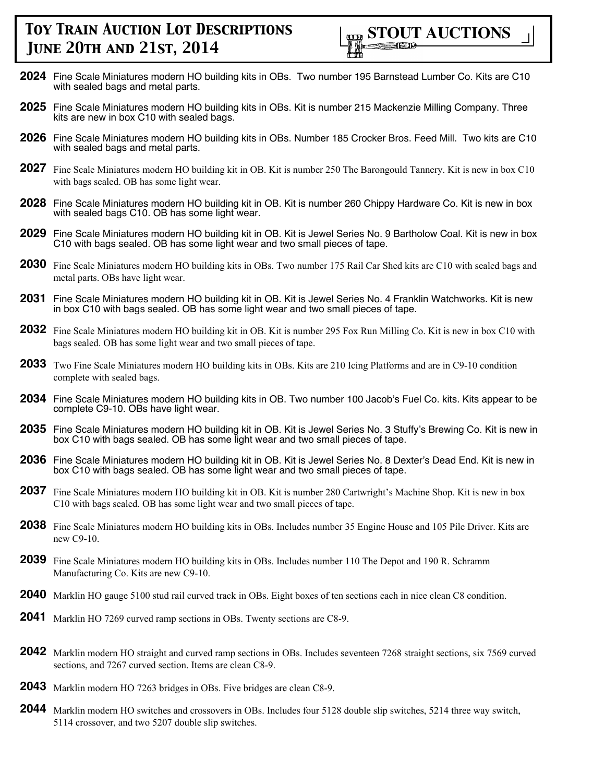- **2024** Fine Scale Miniatures modern HO building kits in OBs. Two number 195 Barnstead Lumber Co. Kits are C10 with sealed bags and metal parts.
- **2025** Fine Scale Miniatures modern HO building kits in OBs. Kit is number 215 Mackenzie Milling Company. Three kits are new in box C10 with sealed bags.
- **2026** Fine Scale Miniatures modern HO building kits in OBs. Number 185 Crocker Bros. Feed Mill. Two kits are C10 with sealed bags and metal parts.
- **2027** Fine Scale Miniatures modern HO building kit in OB. Kit is number 250 The Barongould Tannery. Kit is new in box C10 with bags sealed. OB has some light wear.
- **2028** Fine Scale Miniatures modern HO building kit in OB. Kit is number 260 Chippy Hardware Co. Kit is new in box with sealed bags C10. OB has some light wear.
- **2029** Fine Scale Miniatures modern HO building kit in OB. Kit is Jewel Series No. 9 Bartholow Coal. Kit is new in box C10 with bags sealed. OB has some light wear and two small pieces of tape.
- **2030** Fine Scale Miniatures modern HO building kits in OBs. Two number 175 Rail Car Shed kits are C10 with sealed bags and metal parts. OBs have light wear.
- **2031** Fine Scale Miniatures modern HO building kit in OB. Kit is Jewel Series No. 4 Franklin Watchworks. Kit is new in box C10 with bags sealed. OB has some light wear and two small pieces of tape.
- **2032** Fine Scale Miniatures modern HO building kit in OB. Kit is number 295 Fox Run Milling Co. Kit is new in box C10 with bags sealed. OB has some light wear and two small pieces of tape.
- **2033** Two Fine Scale Miniatures modern HO building kits in OBs. Kits are 210 Icing Platforms and are in C9-10 condition complete with sealed bags.
- **2034** Fine Scale Miniatures modern HO building kits in OB. Two number 100 Jacob's Fuel Co. kits. Kits appear to be complete C9-10. OBs have light wear.
- **2035** Fine Scale Miniatures modern HO building kit in OB. Kit is Jewel Series No. 3 Stuffy's Brewing Co. Kit is new in box C10 with bags sealed. OB has some light wear and two small pieces of tape.
- **2036** Fine Scale Miniatures modern HO building kit in OB. Kit is Jewel Series No. 8 Dexter's Dead End. Kit is new in box C10 with bags sealed. OB has some light wear and two small pieces of tape.
- **2037** Fine Scale Miniatures modern HO building kit in OB. Kit is number 280 Cartwright's Machine Shop. Kit is new in box C10 with bags sealed. OB has some light wear and two small pieces of tape.
- **2038** Fine Scale Miniatures modern HO building kits in OBs. Includes number 35 Engine House and 105 Pile Driver. Kits are new C9-10.
- **2039** Fine Scale Miniatures modern HO building kits in OBs. Includes number 110 The Depot and 190 R. Schramm Manufacturing Co. Kits are new C9-10.
- **2040** Marklin HO gauge 5100 stud rail curved track in OBs. Eight boxes of ten sections each in nice clean C8 condition.
- **2041** Marklin HO 7269 curved ramp sections in OBs. Twenty sections are C8-9.
- **2042** Marklin modern HO straight and curved ramp sections in OBs. Includes seventeen 7268 straight sections, six 7569 curved sections, and 7267 curved section. Items are clean C8-9.
- **2043** Marklin modern HO 7263 bridges in OBs. Five bridges are clean C8-9.
- **2044** Marklin modern HO switches and crossovers in OBs. Includes four 5128 double slip switches, 5214 three way switch, 5114 crossover, and two 5207 double slip switches.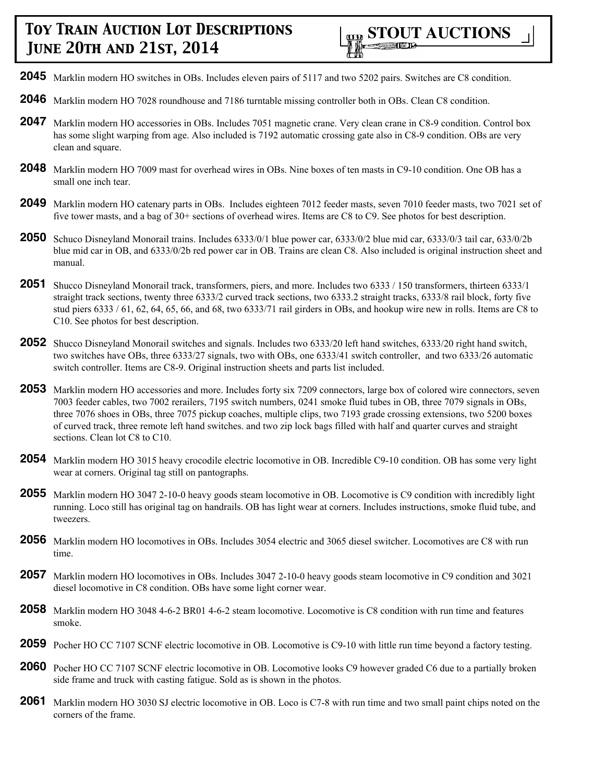- **2045** Marklin modern HO switches in OBs. Includes eleven pairs of 5117 and two 5202 pairs. Switches are C8 condition.
- **2046** Marklin modern HO 7028 roundhouse and 7186 turntable missing controller both in OBs. Clean C8 condition.
- **2047** Marklin modern HO accessories in OBs. Includes 7051 magnetic crane. Very clean crane in C8-9 condition. Control box has some slight warping from age. Also included is 7192 automatic crossing gate also in C8-9 condition. OBs are very clean and square.
- **2048** Marklin modern HO 7009 mast for overhead wires in OBs. Nine boxes of ten masts in C9-10 condition. One OB has a small one inch tear.
- **2049** Marklin modern HO catenary parts in OBs. Includes eighteen 7012 feeder masts, seven 7010 feeder masts, two 7021 set of five tower masts, and a bag of 30+ sections of overhead wires. Items are C8 to C9. See photos for best description.
- **2050** Schuco Disneyland Monorail trains. Includes 6333/0/1 blue power car, 6333/0/2 blue mid car, 6333/0/3 tail car, 633/0/2b blue mid car in OB, and 6333/0/2b red power car in OB. Trains are clean C8. Also included is original instruction sheet and manual.
- **2051** Shucco Disneyland Monorail track, transformers, piers, and more. Includes two 6333 / 150 transformers, thirteen 6333/1 straight track sections, twenty three 6333/2 curved track sections, two 6333.2 straight tracks, 6333/8 rail block, forty five stud piers 6333 / 61, 62, 64, 65, 66, and 68, two 6333/71 rail girders in OBs, and hookup wire new in rolls. Items are C8 to C10. See photos for best description.
- **2052** Shucco Disneyland Monorail switches and signals. Includes two 6333/20 left hand switches, 6333/20 right hand switch, two switches have OBs, three 6333/27 signals, two with OBs, one 6333/41 switch controller, and two 6333/26 automatic switch controller. Items are C8-9. Original instruction sheets and parts list included.
- **2053** Marklin modern HO accessories and more. Includes forty six 7209 connectors, large box of colored wire connectors, seven 7003 feeder cables, two 7002 rerailers, 7195 switch numbers, 0241 smoke fluid tubes in OB, three 7079 signals in OBs, three 7076 shoes in OBs, three 7075 pickup coaches, multiple clips, two 7193 grade crossing extensions, two 5200 boxes of curved track, three remote left hand switches. and two zip lock bags filled with half and quarter curves and straight sections. Clean lot C8 to C10.
- **2054** Marklin modern HO 3015 heavy crocodile electric locomotive in OB. Incredible C9-10 condition. OB has some very light wear at corners. Original tag still on pantographs.
- **2055** Marklin modern HO 3047 2-10-0 heavy goods steam locomotive in OB. Locomotive is C9 condition with incredibly light running. Loco still has original tag on handrails. OB has light wear at corners. Includes instructions, smoke fluid tube, and tweezers.
- **2056** Marklin modern HO locomotives in OBs. Includes 3054 electric and 3065 diesel switcher. Locomotives are C8 with run time.
- **2057** Marklin modern HO locomotives in OBs. Includes 3047 2-10-0 heavy goods steam locomotive in C9 condition and 3021 diesel locomotive in C8 condition. OBs have some light corner wear.
- **2058** Marklin modern HO 3048 4-6-2 BR01 4-6-2 steam locomotive. Locomotive is C8 condition with run time and features smoke.
- **2059** Pocher HO CC 7107 SCNF electric locomotive in OB. Locomotive is C9-10 with little run time beyond a factory testing.
- **2060** Pocher HO CC 7107 SCNF electric locomotive in OB. Locomotive looks C9 however graded C6 due to a partially broken side frame and truck with casting fatigue. Sold as is shown in the photos.
- **2061** Marklin modern HO 3030 SJ electric locomotive in OB. Loco is C7-8 with run time and two small paint chips noted on the corners of the frame.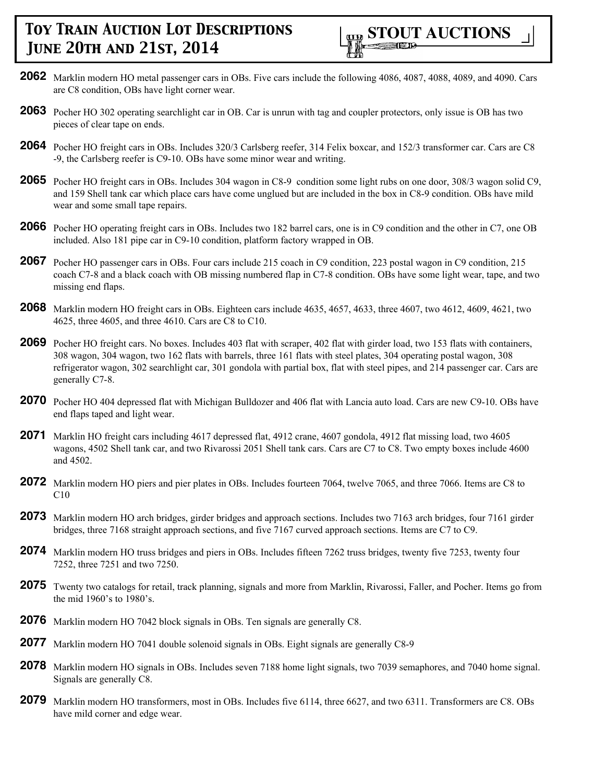

- **2062** Marklin modern HO metal passenger cars in OBs. Five cars include the following 4086, 4087, 4088, 4089, and 4090. Cars are C8 condition, OBs have light corner wear.
- **2063** Pocher HO 302 operating searchlight car in OB. Car is unrun with tag and coupler protectors, only issue is OB has two pieces of clear tape on ends.
- **2064** Pocher HO freight cars in OBs. Includes 320/3 Carlsberg reefer, 314 Felix boxcar, and 152/3 transformer car. Cars are C8 -9, the Carlsberg reefer is C9-10. OBs have some minor wear and writing.
- **2065** Pocher HO freight cars in OBs. Includes 304 wagon in C8-9 condition some light rubs on one door, 308/3 wagon solid C9, and 159 Shell tank car which place cars have come unglued but are included in the box in C8-9 condition. OBs have mild wear and some small tape repairs.
- **2066** Pocher HO operating freight cars in OBs. Includes two 182 barrel cars, one is in C9 condition and the other in C7, one OB included. Also 181 pipe car in C9-10 condition, platform factory wrapped in OB.
- **2067** Pocher HO passenger cars in OBs. Four cars include 215 coach in C9 condition, 223 postal wagon in C9 condition, 215 coach C7-8 and a black coach with OB missing numbered flap in C7-8 condition. OBs have some light wear, tape, and two missing end flaps.
- **2068** Marklin modern HO freight cars in OBs. Eighteen cars include 4635, 4657, 4633, three 4607, two 4612, 4609, 4621, two 4625, three 4605, and three 4610. Cars are C8 to C10.
- **2069** Pocher HO freight cars. No boxes. Includes 403 flat with scraper, 402 flat with girder load, two 153 flats with containers, 308 wagon, 304 wagon, two 162 flats with barrels, three 161 flats with steel plates, 304 operating postal wagon, 308 refrigerator wagon, 302 searchlight car, 301 gondola with partial box, flat with steel pipes, and 214 passenger car. Cars are generally C7-8.
- **2070** Pocher HO 404 depressed flat with Michigan Bulldozer and 406 flat with Lancia auto load. Cars are new C9-10. OBs have end flaps taped and light wear.
- **2071** Marklin HO freight cars including 4617 depressed flat, 4912 crane, 4607 gondola, 4912 flat missing load, two 4605 wagons, 4502 Shell tank car, and two Rivarossi 2051 Shell tank cars. Cars are C7 to C8. Two empty boxes include 4600 and 4502.
- **2072** Marklin modern HO piers and pier plates in OBs. Includes fourteen 7064, twelve 7065, and three 7066. Items are C8 to C10
- **2073** Marklin modern HO arch bridges, girder bridges and approach sections. Includes two 7163 arch bridges, four 7161 girder bridges, three 7168 straight approach sections, and five 7167 curved approach sections. Items are C7 to C9.
- **2074** Marklin modern HO truss bridges and piers in OBs. Includes fifteen 7262 truss bridges, twenty five 7253, twenty four 7252, three 7251 and two 7250.
- **2075** Twenty two catalogs for retail, track planning, signals and more from Marklin, Rivarossi, Faller, and Pocher. Items go from the mid 1960's to 1980's.
- **2076** Marklin modern HO 7042 block signals in OBs. Ten signals are generally C8.
- **2077** Marklin modern HO 7041 double solenoid signals in OBs. Eight signals are generally C8-9
- **2078** Marklin modern HO signals in OBs. Includes seven 7188 home light signals, two 7039 semaphores, and 7040 home signal. Signals are generally C8.
- **2079** Marklin modern HO transformers, most in OBs. Includes five 6114, three 6627, and two 6311. Transformers are C8. OBs have mild corner and edge wear.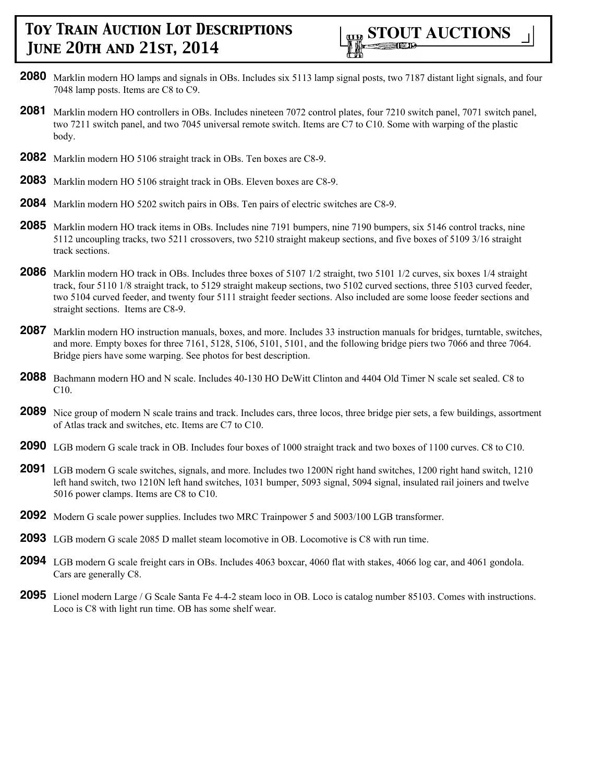

- **2080** Marklin modern HO lamps and signals in OBs. Includes six 5113 lamp signal posts, two 7187 distant light signals, and four 7048 lamp posts. Items are C8 to C9.
- **2081** Marklin modern HO controllers in OBs. Includes nineteen 7072 control plates, four 7210 switch panel, 7071 switch panel, two 7211 switch panel, and two 7045 universal remote switch. Items are C7 to C10. Some with warping of the plastic body.
- **2082** Marklin modern HO 5106 straight track in OBs. Ten boxes are C8-9.
- **2083** Marklin modern HO 5106 straight track in OBs. Eleven boxes are C8-9.
- **2084** Marklin modern HO 5202 switch pairs in OBs. Ten pairs of electric switches are C8-9.
- **2085** Marklin modern HO track items in OBs. Includes nine 7191 bumpers, nine 7190 bumpers, six 5146 control tracks, nine 5112 uncoupling tracks, two 5211 crossovers, two 5210 straight makeup sections, and five boxes of 5109 3/16 straight track sections.
- **2086** Marklin modern HO track in OBs. Includes three boxes of 5107 1/2 straight, two 5101 1/2 curves, six boxes 1/4 straight track, four 5110 1/8 straight track, to 5129 straight makeup sections, two 5102 curved sections, three 5103 curved feeder, two 5104 curved feeder, and twenty four 5111 straight feeder sections. Also included are some loose feeder sections and straight sections. Items are C8-9.
- **2087** Marklin modern HO instruction manuals, boxes, and more. Includes 33 instruction manuals for bridges, turntable, switches, and more. Empty boxes for three 7161, 5128, 5106, 5101, 5101, and the following bridge piers two 7066 and three 7064. Bridge piers have some warping. See photos for best description.
- **2088** Bachmann modern HO and N scale. Includes 40-130 HO DeWitt Clinton and 4404 Old Timer N scale set sealed. C8 to C10.
- **2089** Nice group of modern N scale trains and track. Includes cars, three locos, three bridge pier sets, a few buildings, assortment of Atlas track and switches, etc. Items are C7 to C10.
- **2090** LGB modern G scale track in OB. Includes four boxes of 1000 straight track and two boxes of 1100 curves. C8 to C10.
- **2091** LGB modern G scale switches, signals, and more. Includes two 1200N right hand switches, 1200 right hand switch, 1210 left hand switch, two 1210N left hand switches, 1031 bumper, 5093 signal, 5094 signal, insulated rail joiners and twelve 5016 power clamps. Items are C8 to C10.
- **2092** Modern G scale power supplies. Includes two MRC Trainpower 5 and 5003/100 LGB transformer.
- **2093** LGB modern G scale 2085 D mallet steam locomotive in OB. Locomotive is C8 with run time.
- **2094** LGB modern G scale freight cars in OBs. Includes 4063 boxcar, 4060 flat with stakes, 4066 log car, and 4061 gondola. Cars are generally C8.
- **2095** Lionel modern Large / G Scale Santa Fe 4-4-2 steam loco in OB. Loco is catalog number 85103. Comes with instructions. Loco is C8 with light run time. OB has some shelf wear.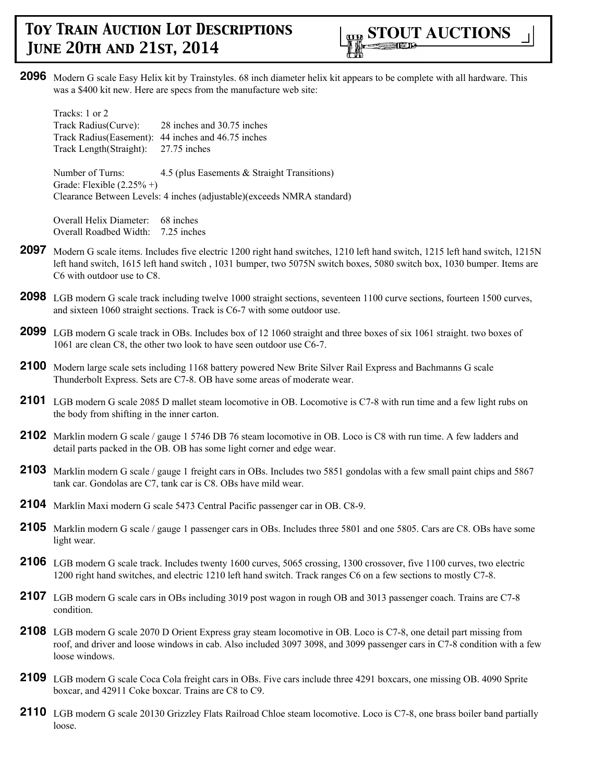

**2096** Modern G scale Easy Helix kit by Trainstyles. 68 inch diameter helix kit appears to be complete with all hardware. This was a \$400 kit new. Here are specs from the manufacture web site:

Tracks: 1 or 2 Track Radius(Curve): 28 inches and 30.75 inches Track Radius(Easement): 44 inches and 46.75 inches Track Length(Straight): 27.75 inches

Number of Turns: 4.5 (plus Easements & Straight Transitions) Grade: Flexible  $(2.25\% +)$ Clearance Between Levels: 4 inches (adjustable)(exceeds NMRA standard)

Overall Helix Diameter: 68 inches Overall Roadbed Width: 7.25 inches

- **2097** Modern G scale items. Includes five electric 1200 right hand switches, 1210 left hand switch, 1215 left hand switch, 1215N left hand switch, 1615 left hand switch , 1031 bumper, two 5075N switch boxes, 5080 switch box, 1030 bumper. Items are C6 with outdoor use to C8.
- **2098** LGB modern G scale track including twelve 1000 straight sections, seventeen 1100 curve sections, fourteen 1500 curves, and sixteen 1060 straight sections. Track is C6-7 with some outdoor use.
- **2099** LGB modern G scale track in OBs. Includes box of 12 1060 straight and three boxes of six 1061 straight. two boxes of 1061 are clean C8, the other two look to have seen outdoor use C6-7.
- **2100** Modern large scale sets including 1168 battery powered New Brite Silver Rail Express and Bachmanns G scale Thunderbolt Express. Sets are C7-8. OB have some areas of moderate wear.
- **2101** LGB modern G scale 2085 D mallet steam locomotive in OB. Locomotive is C7-8 with run time and a few light rubs on the body from shifting in the inner carton.
- **2102** Marklin modern G scale / gauge 1 5746 DB 76 steam locomotive in OB. Loco is C8 with run time. A few ladders and detail parts packed in the OB. OB has some light corner and edge wear.
- **2103** Marklin modern G scale / gauge 1 freight cars in OBs. Includes two 5851 gondolas with a few small paint chips and 5867 tank car. Gondolas are C7, tank car is C8. OBs have mild wear.
- **2104** Marklin Maxi modern G scale 5473 Central Pacific passenger car in OB. C8-9.
- **2105** Marklin modern G scale / gauge 1 passenger cars in OBs. Includes three 5801 and one 5805. Cars are C8. OBs have some light wear.
- **2106** LGB modern G scale track. Includes twenty 1600 curves, 5065 crossing, 1300 crossover, five 1100 curves, two electric 1200 right hand switches, and electric 1210 left hand switch. Track ranges C6 on a few sections to mostly C7-8.
- **2107** LGB modern G scale cars in OBs including 3019 post wagon in rough OB and 3013 passenger coach. Trains are C7-8 condition.
- **2108** LGB modern G scale 2070 D Orient Express gray steam locomotive in OB. Loco is C7-8, one detail part missing from roof, and driver and loose windows in cab. Also included 3097 3098, and 3099 passenger cars in C7-8 condition with a few loose windows.
- **2109** LGB modern G scale Coca Cola freight cars in OBs. Five cars include three 4291 boxcars, one missing OB. 4090 Sprite boxcar, and 42911 Coke boxcar. Trains are C8 to C9.
- 2110 LGB modern G scale 20130 Grizzley Flats Railroad Chloe steam locomotive. Loco is C7-8, one brass boiler band partially loose.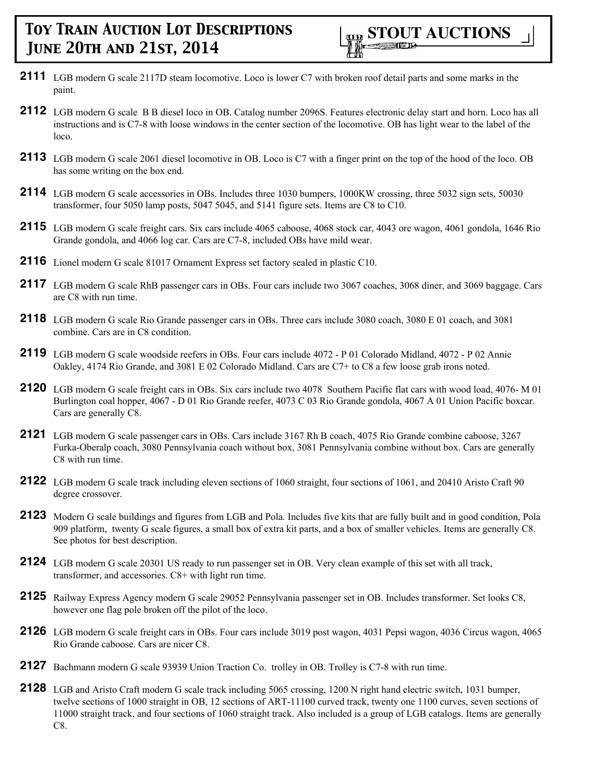- **2111** LGB modern G scale 2117D steam locomotive. Loco is lower C7 with broken roof detail parts and some marks in the paint.
- **2112** LGB modern G scale B B diesel loco in OB. Catalog number 2096S. Features electronic delay start and horn. Loco has all instructions and is C7-8 with loose windows in the center section of the locomotive. OB has light wear to the label of the loco.
- **2113** LGB modern G scale 2061 diesel locomotive in OB. Loco is C7 with a finger print on the top of the hood of the loco. OB has some writing on the box end.
- **2114** LGB modern G scale accessories in OBs. Includes three 1030 bumpers, 1000KW crossing, three 5032 sign sets, 50030 transformer, four 5050 lamp posts, 5047 5045, and 5141 figure sets. Items are C8 to C10.
- **2115** LGB modern G scale freight cars. Six cars include 4065 caboose, 4068 stock car, 4043 ore wagon, 4061 gondola, 1646 Rio Grande gondola, and 4066 log car. Cars are C7-8, included OBs have mild wear.
- **2116** Lionel modern G scale 81017 Ornament Express set factory sealed in plastic C10.
- **2117** LGB modern G scale RhB passenger cars in OBs. Four cars include two 3067 coaches, 3068 diner, and 3069 baggage. Cars are C8 with run time.
- **2118** LGB modern G scale Rio Grande passenger cars in OBs. Three cars include 3080 coach, 3080 E 01 coach, and 3081 combine. Cars are in C8 condition.
- **2119** LGB modern G scale woodside reefers in OBs. Four cars include 4072 P 01 Colorado Midland, 4072 P 02 Annie Oakley, 4174 Rio Grande, and 3081 E 02 Colorado Midland. Cars are C7+ to C8 a few loose grab irons noted.
- **2120** LGB modern G scale freight cars in OBs. Six cars include two 4078 Southern Pacific flat cars with wood load, 4076- M 01 Burlington coal hopper, 4067 - D 01 Rio Grande reefer, 4073 C 03 Rio Grande gondola, 4067 A 01 Union Pacific boxcar. Cars are generally C8.
- **2121** LGB modern G scale passenger cars in OBs. Cars include 3167 Rh B coach, 4075 Rio Grande combine caboose, 3267 Furka-Oberalp coach, 3080 Pennsylvania coach without box, 3081 Pennsylvania combine without box. Cars are generally C8 with run time.
- **2122** LGB modern G scale track including eleven sections of 1060 straight, four sections of 1061, and 20410 Aristo Craft 90 degree crossover.
- **2123** Modern G scale buildings and figures from LGB and Pola. Includes five kits that are fully built and in good condition, Pola 909 platform, twenty G scale figures, a small box of extra kit parts, and a box of smaller vehicles. Items are generally C8. See photos for best description.
- **2124** LGB modern G scale 20301 US ready to run passenger set in OB. Very clean example of this set with all track, transformer, and accessories. C8+ with light run time.
- **2125** Railway Express Agency modern G scale 29052 Pennsylvania passenger set in OB. Includes transformer. Set looks C8, however one flag pole broken off the pilot of the loco.
- **2126** LGB modern G scale freight cars in OBs. Four cars include 3019 post wagon, 4031 Pepsi wagon, 4036 Circus wagon, 4065 Rio Grande caboose. Cars are nicer C8.
- **2127** Bachmann modern G scale 93939 Union Traction Co. trolley in OB. Trolley is C7-8 with run time.
- **2128** LGB and Aristo Craft modern G scale track including 5065 crossing, 1200 N right hand electric switch, 1031 bumper, twelve sections of 1000 straight in OB, 12 sections of ART-11100 curved track, twenty one 1100 curves, seven sections of 11000 straight track, and four sections of 1060 straight track. Also included is a group of LGB catalogs. Items are generally C8.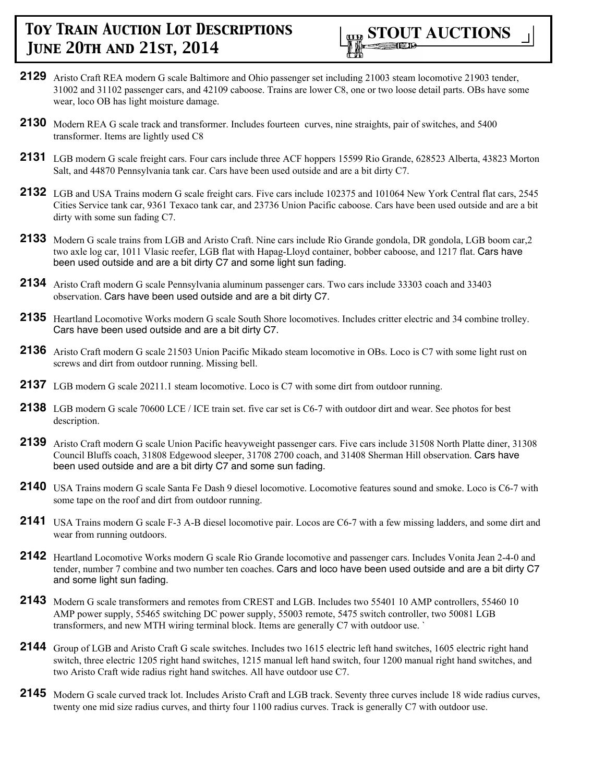

- **2129** Aristo Craft REA modern G scale Baltimore and Ohio passenger set including 21003 steam locomotive 21903 tender, 31002 and 31102 passenger cars, and 42109 caboose. Trains are lower C8, one or two loose detail parts. OBs have some wear, loco OB has light moisture damage.
- **2130** Modern REA G scale track and transformer. Includes fourteen curves, nine straights, pair of switches, and 5400 transformer. Items are lightly used C8
- **2131** LGB modern G scale freight cars. Four cars include three ACF hoppers 15599 Rio Grande, 628523 Alberta, 43823 Morton Salt, and 44870 Pennsylvania tank car. Cars have been used outside and are a bit dirty C7.
- **2132** LGB and USA Trains modern G scale freight cars. Five cars include 102375 and 101064 New York Central flat cars, 2545 Cities Service tank car, 9361 Texaco tank car, and 23736 Union Pacific caboose. Cars have been used outside and are a bit dirty with some sun fading C7.
- **2133** Modern G scale trains from LGB and Aristo Craft. Nine cars include Rio Grande gondola, DR gondola, LGB boom car,2 two axle log car, 1011 Vlasic reefer, LGB flat with Hapag-Lloyd container, bobber caboose, and 1217 flat. Cars have been used outside and are a bit dirty C7 and some light sun fading.
- **2134** Aristo Craft modern G scale Pennsylvania aluminum passenger cars. Two cars include 33303 coach and 33403 observation. Cars have been used outside and are a bit dirty C7.
- **2135** Heartland Locomotive Works modern G scale South Shore locomotives. Includes critter electric and 34 combine trolley. Cars have been used outside and are a bit dirty C7.
- **2136** Aristo Craft modern G scale 21503 Union Pacific Mikado steam locomotive in OBs. Loco is C7 with some light rust on screws and dirt from outdoor running. Missing bell.
- **2137** LGB modern G scale 20211.1 steam locomotive. Loco is C7 with some dirt from outdoor running.
- **2138** LGB modern G scale 70600 LCE / ICE train set. five car set is C6-7 with outdoor dirt and wear. See photos for best description.
- **2139** Aristo Craft modern G scale Union Pacific heavyweight passenger cars. Five cars include 31508 North Platte diner, 31308 Council Bluffs coach, 31808 Edgewood sleeper, 31708 2700 coach, and 31408 Sherman Hill observation. Cars have been used outside and are a bit dirty C7 and some sun fading.
- **2140** USA Trains modern G scale Santa Fe Dash 9 diesel locomotive. Locomotive features sound and smoke. Loco is C6-7 with some tape on the roof and dirt from outdoor running.
- **2141** USA Trains modern G scale F-3 A-B diesel locomotive pair. Locos are C6-7 with a few missing ladders, and some dirt and wear from running outdoors.
- **2142** Heartland Locomotive Works modern G scale Rio Grande locomotive and passenger cars. Includes Vonita Jean 2-4-0 and tender, number 7 combine and two number ten coaches. Cars and loco have been used outside and are a bit dirty C7 and some light sun fading.
- **2143** Modern G scale transformers and remotes from CREST and LGB. Includes two 55401 10 AMP controllers, 55460 10 AMP power supply, 55465 switching DC power supply, 55003 remote, 5475 switch controller, two 50081 LGB transformers, and new MTH wiring terminal block. Items are generally C7 with outdoor use. `
- **2144** Group of LGB and Aristo Craft G scale switches. Includes two 1615 electric left hand switches, 1605 electric right hand switch, three electric 1205 right hand switches, 1215 manual left hand switch, four 1200 manual right hand switches, and two Aristo Craft wide radius right hand switches. All have outdoor use C7.
- 2145 Modern G scale curved track lot. Includes Aristo Craft and LGB track. Seventy three curves include 18 wide radius curves, twenty one mid size radius curves, and thirty four 1100 radius curves. Track is generally C7 with outdoor use.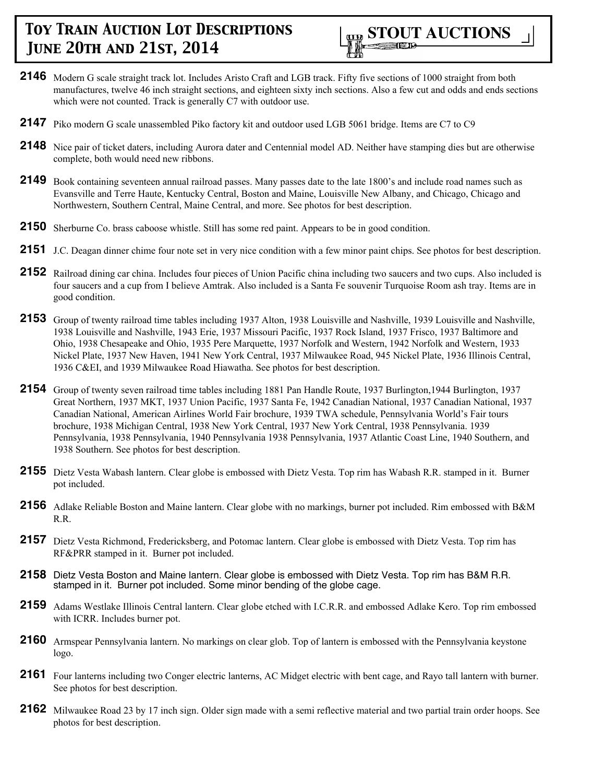

- **2146** Modern G scale straight track lot. Includes Aristo Craft and LGB track. Fifty five sections of 1000 straight from both manufactures, twelve 46 inch straight sections, and eighteen sixty inch sections. Also a few cut and odds and ends sections which were not counted. Track is generally C7 with outdoor use.
- **2147** Piko modern G scale unassembled Piko factory kit and outdoor used LGB 5061 bridge. Items are C7 to C9
- **2148** Nice pair of ticket daters, including Aurora dater and Centennial model AD. Neither have stamping dies but are otherwise complete, both would need new ribbons.
- **2149** Book containing seventeen annual railroad passes. Many passes date to the late 1800's and include road names such as Evansville and Terre Haute, Kentucky Central, Boston and Maine, Louisville New Albany, and Chicago, Chicago and Northwestern, Southern Central, Maine Central, and more. See photos for best description.
- **2150** Sherburne Co. brass caboose whistle. Still has some red paint. Appears to be in good condition.
- **2151** J.C. Deagan dinner chime four note set in very nice condition with a few minor paint chips. See photos for best description.
- **2152** Railroad dining car china. Includes four pieces of Union Pacific china including two saucers and two cups. Also included is four saucers and a cup from I believe Amtrak. Also included is a Santa Fe souvenir Turquoise Room ash tray. Items are in good condition.
- **2153** Group of twenty railroad time tables including 1937 Alton, 1938 Louisville and Nashville, 1939 Louisville and Nashville, 1938 Louisville and Nashville, 1943 Erie, 1937 Missouri Pacific, 1937 Rock Island, 1937 Frisco, 1937 Baltimore and Ohio, 1938 Chesapeake and Ohio, 1935 Pere Marquette, 1937 Norfolk and Western, 1942 Norfolk and Western, 1933 Nickel Plate, 1937 New Haven, 1941 New York Central, 1937 Milwaukee Road, 945 Nickel Plate, 1936 Illinois Central, 1936 C&EI, and 1939 Milwaukee Road Hiawatha. See photos for best description.
- **2154** Group of twenty seven railroad time tables including 1881 Pan Handle Route, 1937 Burlington,1944 Burlington, 1937 Great Northern, 1937 MKT, 1937 Union Pacific, 1937 Santa Fe, 1942 Canadian National, 1937 Canadian National, 1937 Canadian National, American Airlines World Fair brochure, 1939 TWA schedule, Pennsylvania World's Fair tours brochure, 1938 Michigan Central, 1938 New York Central, 1937 New York Central, 1938 Pennsylvania. 1939 Pennsylvania, 1938 Pennsylvania, 1940 Pennsylvania 1938 Pennsylvania, 1937 Atlantic Coast Line, 1940 Southern, and 1938 Southern. See photos for best description.
- **2155** Dietz Vesta Wabash lantern. Clear globe is embossed with Dietz Vesta. Top rim has Wabash R.R. stamped in it. Burner pot included.
- **2156** Adlake Reliable Boston and Maine lantern. Clear globe with no markings, burner pot included. Rim embossed with B&M R.R.
- 2157 Dietz Vesta Richmond, Fredericksberg, and Potomac lantern. Clear globe is embossed with Dietz Vesta. Top rim has RF&PRR stamped in it. Burner pot included.
- **2158** Dietz Vesta Boston and Maine lantern. Clear globe is embossed with Dietz Vesta. Top rim has B&M R.R. stamped in it. Burner pot included. Some minor bending of the globe cage.
- **2159** Adams Westlake Illinois Central lantern. Clear globe etched with I.C.R.R. and embossed Adlake Kero. Top rim embossed with ICRR. Includes burner pot.
- **2160** Armspear Pennsylvania lantern. No markings on clear glob. Top of lantern is embossed with the Pennsylvania keystone logo.
- **2161** Four lanterns including two Conger electric lanterns, AC Midget electric with bent cage, and Rayo tall lantern with burner. See photos for best description.
- **2162** Milwaukee Road 23 by 17 inch sign. Older sign made with a semi reflective material and two partial train order hoops. See photos for best description.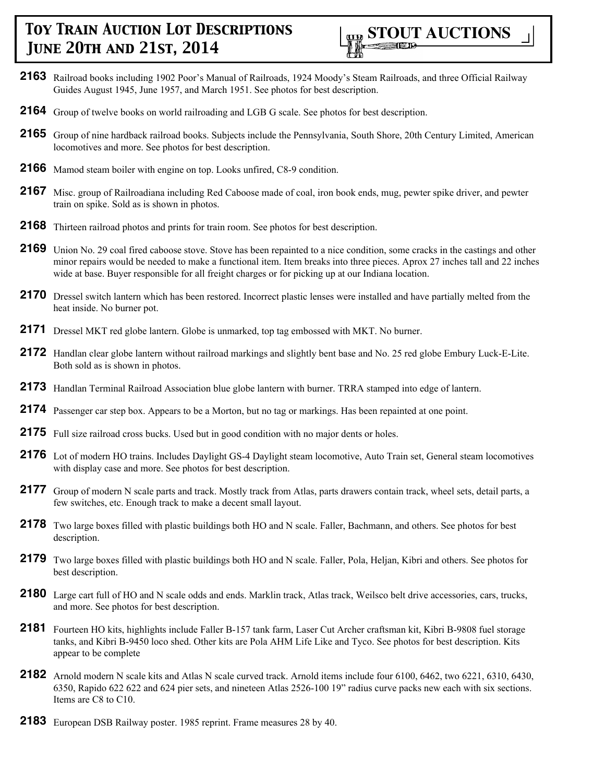

- **2163** Railroad books including 1902 Poor's Manual of Railroads, 1924 Moody's Steam Railroads, and three Official Railway Guides August 1945, June 1957, and March 1951. See photos for best description.
- **2164** Group of twelve books on world railroading and LGB G scale. See photos for best description.
- **2165** Group of nine hardback railroad books. Subjects include the Pennsylvania, South Shore, 20th Century Limited, American locomotives and more. See photos for best description.
- **2166** Mamod steam boiler with engine on top. Looks unfired, C8-9 condition.
- **2167** Misc. group of Railroadiana including Red Caboose made of coal, iron book ends, mug, pewter spike driver, and pewter train on spike. Sold as is shown in photos.
- **2168** Thirteen railroad photos and prints for train room. See photos for best description.
- **2169** Union No. 29 coal fired caboose stove. Stove has been repainted to a nice condition, some cracks in the castings and other minor repairs would be needed to make a functional item. Item breaks into three pieces. Aprox 27 inches tall and 22 inches wide at base. Buyer responsible for all freight charges or for picking up at our Indiana location.
- **2170** Dressel switch lantern which has been restored. Incorrect plastic lenses were installed and have partially melted from the heat inside. No burner pot.
- **2171** Dressel MKT red globe lantern. Globe is unmarked, top tag embossed with MKT. No burner.
- **2172** Handlan clear globe lantern without railroad markings and slightly bent base and No. 25 red globe Embury Luck-E-Lite. Both sold as is shown in photos.
- **2173** Handlan Terminal Railroad Association blue globe lantern with burner. TRRA stamped into edge of lantern.
- **2174** Passenger car step box. Appears to be a Morton, but no tag or markings. Has been repainted at one point.
- **2175** Full size railroad cross bucks. Used but in good condition with no major dents or holes.
- **2176** Lot of modern HO trains. Includes Daylight GS-4 Daylight steam locomotive, Auto Train set, General steam locomotives with display case and more. See photos for best description.
- 2177 Group of modern N scale parts and track. Mostly track from Atlas, parts drawers contain track, wheel sets, detail parts, a few switches, etc. Enough track to make a decent small layout.
- **2178** Two large boxes filled with plastic buildings both HO and N scale. Faller, Bachmann, and others. See photos for best description.
- **2179** Two large boxes filled with plastic buildings both HO and N scale. Faller, Pola, Heljan, Kibri and others. See photos for best description.
- **2180** Large cart full of HO and N scale odds and ends. Marklin track, Atlas track, Weilsco belt drive accessories, cars, trucks, and more. See photos for best description.
- **2181** Fourteen HO kits, highlights include Faller B-157 tank farm, Laser Cut Archer craftsman kit, Kibri B-9808 fuel storage tanks, and Kibri B-9450 loco shed. Other kits are Pola AHM Life Like and Tyco. See photos for best description. Kits appear to be complete
- **2182** Arnold modern N scale kits and Atlas N scale curved track. Arnold items include four 6100, 6462, two 6221, 6310, 6430, 6350, Rapido 622 622 and 624 pier sets, and nineteen Atlas 2526-100 19" radius curve packs new each with six sections. Items are C8 to C10.
- **2183** European DSB Railway poster. 1985 reprint. Frame measures 28 by 40.